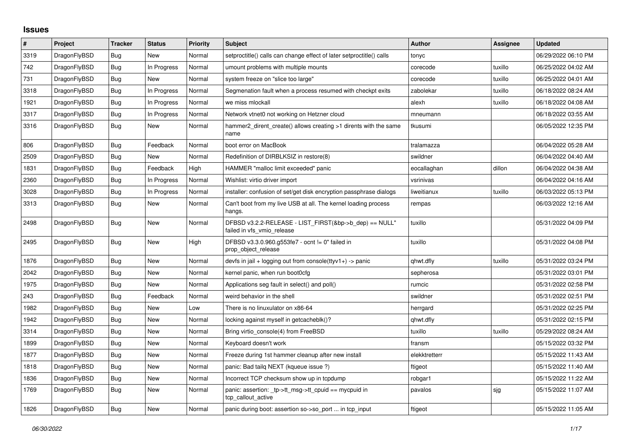## **Issues**

| $\sharp$ | Project      | <b>Tracker</b> | <b>Status</b> | <b>Priority</b> | <b>Subject</b>                                                                       | <b>Author</b> | Assignee | <b>Updated</b>      |
|----------|--------------|----------------|---------------|-----------------|--------------------------------------------------------------------------------------|---------------|----------|---------------------|
| 3319     | DragonFlyBSD | <b>Bug</b>     | <b>New</b>    | Normal          | setproctitle() calls can change effect of later setproctitle() calls                 | tonyc         |          | 06/29/2022 06:10 PM |
| 742      | DragonFlyBSD | Bug            | In Progress   | Normal          | umount problems with multiple mounts                                                 | corecode      | tuxillo  | 06/25/2022 04:02 AM |
| 731      | DragonFlyBSD | Bug            | New           | Normal          | system freeze on "slice too large"                                                   | corecode      | tuxillo  | 06/25/2022 04:01 AM |
| 3318     | DragonFlyBSD | Bug            | In Progress   | Normal          | Segmenation fault when a process resumed with checkpt exits                          | zabolekar     | tuxillo  | 06/18/2022 08:24 AM |
| 1921     | DragonFlyBSD | Bug            | In Progress   | Normal          | we miss mlockall                                                                     | alexh         | tuxillo  | 06/18/2022 04:08 AM |
| 3317     | DragonFlyBSD | Bug            | In Progress   | Normal          | Network vtnet0 not working on Hetzner cloud                                          | mneumann      |          | 06/18/2022 03:55 AM |
| 3316     | DragonFlyBSD | Bug            | <b>New</b>    | Normal          | hammer2 dirent create() allows creating >1 dirents with the same<br>name             | tkusumi       |          | 06/05/2022 12:35 PM |
| 806      | DragonFlyBSD | <b>Bug</b>     | Feedback      | Normal          | boot error on MacBook                                                                | tralamazza    |          | 06/04/2022 05:28 AM |
| 2509     | DragonFlyBSD | <b>Bug</b>     | New           | Normal          | Redefinition of DIRBLKSIZ in restore(8)                                              | swildner      |          | 06/04/2022 04:40 AM |
| 1831     | DragonFlyBSD | Bug            | Feedback      | High            | HAMMER "malloc limit exceeded" panic                                                 | eocallaghan   | dillon   | 06/04/2022 04:38 AM |
| 2360     | DragonFlyBSD | <b>Bug</b>     | In Progress   | Normal          | Wishlist: virtio driver import                                                       | vsrinivas     |          | 06/04/2022 04:16 AM |
| 3028     | DragonFlyBSD | Bug            | In Progress   | Normal          | installer: confusion of set/get disk encryption passphrase dialogs                   | liweitianux   | tuxillo  | 06/03/2022 05:13 PM |
| 3313     | DragonFlyBSD | Bug            | New           | Normal          | Can't boot from my live USB at all. The kernel loading process<br>hangs.             | rempas        |          | 06/03/2022 12:16 AM |
| 2498     | DragonFlyBSD | Bug            | New           | Normal          | DFBSD v3.2.2-RELEASE - LIST FIRST(&bp->b dep) == NULL"<br>failed in vfs_vmio_release | tuxillo       |          | 05/31/2022 04:09 PM |
| 2495     | DragonFlyBSD | <b>Bug</b>     | New           | High            | DFBSD v3.3.0.960.g553fe7 - ocnt != 0" failed in<br>prop object release               | tuxillo       |          | 05/31/2022 04:08 PM |
| 1876     | DragonFlyBSD | Bug            | New           | Normal          | devfs in jail + logging out from console(ttyv1+) -> panic                            | qhwt.dfly     | tuxillo  | 05/31/2022 03:24 PM |
| 2042     | DragonFlyBSD | Bug            | <b>New</b>    | Normal          | kernel panic, when run boot0cfg                                                      | sepherosa     |          | 05/31/2022 03:01 PM |
| 1975     | DragonFlyBSD | <b>Bug</b>     | New           | Normal          | Applications seg fault in select() and poll()                                        | rumcic        |          | 05/31/2022 02:58 PM |
| 243      | DragonFlyBSD | Bug            | Feedback      | Normal          | weird behavior in the shell                                                          | swildner      |          | 05/31/2022 02:51 PM |
| 1982     | DragonFlyBSD | Bug            | New           | Low             | There is no linuxulator on x86-64                                                    | herrgard      |          | 05/31/2022 02:25 PM |
| 1942     | DragonFlyBSD | Bug            | New           | Normal          | locking against myself in getcacheblk()?                                             | qhwt.dfly     |          | 05/31/2022 02:15 PM |
| 3314     | DragonFlyBSD | Bug            | New           | Normal          | Bring virtio_console(4) from FreeBSD                                                 | tuxillo       | tuxillo  | 05/29/2022 08:24 AM |
| 1899     | DragonFlyBSD | <b>Bug</b>     | New           | Normal          | Keyboard doesn't work                                                                | fransm        |          | 05/15/2022 03:32 PM |
| 1877     | DragonFlyBSD | Bug            | New           | Normal          | Freeze during 1st hammer cleanup after new install                                   | elekktretterr |          | 05/15/2022 11:43 AM |
| 1818     | DragonFlyBSD | Bug            | New           | Normal          | panic: Bad tailg NEXT (kqueue issue ?)                                               | ftigeot       |          | 05/15/2022 11:40 AM |
| 1836     | DragonFlyBSD | Bug            | New           | Normal          | Incorrect TCP checksum show up in tcpdump                                            | robgar1       |          | 05/15/2022 11:22 AM |
| 1769     | DragonFlyBSD | Bug            | New           | Normal          | panic: assertion: tp->tt_msg->tt_cpuid == mycpuid in<br>tcp callout active           | pavalos       | sjg      | 05/15/2022 11:07 AM |
| 1826     | DragonFlyBSD | <b>Bug</b>     | <b>New</b>    | Normal          | panic during boot: assertion so->so_port  in tcp_input                               | ftigeot       |          | 05/15/2022 11:05 AM |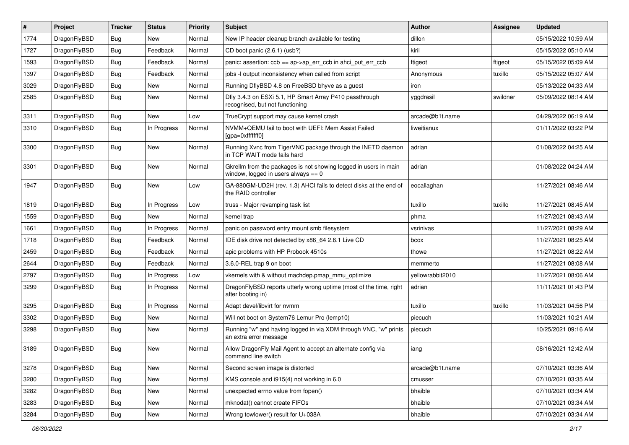| $\vert$ # | Project      | <b>Tracker</b> | <b>Status</b> | <b>Priority</b> | Subject                                                                                                   | <b>Author</b>    | <b>Assignee</b> | <b>Updated</b>      |
|-----------|--------------|----------------|---------------|-----------------|-----------------------------------------------------------------------------------------------------------|------------------|-----------------|---------------------|
| 1774      | DragonFlyBSD | <b>Bug</b>     | New           | Normal          | New IP header cleanup branch available for testing                                                        | dillon           |                 | 05/15/2022 10:59 AM |
| 1727      | DragonFlyBSD | Bug            | Feedback      | Normal          | CD boot panic (2.6.1) (usb?)                                                                              | kiril            |                 | 05/15/2022 05:10 AM |
| 1593      | DragonFlyBSD | <b>Bug</b>     | Feedback      | Normal          | panic: assertion: $ccb == ap > ap$ err $ccb$ in ahci put err $ccb$                                        | ftigeot          | ftigeot         | 05/15/2022 05:09 AM |
| 1397      | DragonFlyBSD | Bug            | Feedback      | Normal          | jobs -I output inconsistency when called from script                                                      | Anonymous        | tuxillo         | 05/15/2022 05:07 AM |
| 3029      | DragonFlyBSD | <b>Bug</b>     | <b>New</b>    | Normal          | Running DflyBSD 4.8 on FreeBSD bhyve as a guest                                                           | iron             |                 | 05/13/2022 04:33 AM |
| 2585      | DragonFlyBSD | <b>Bug</b>     | New           | Normal          | Dfly 3.4.3 on ESXi 5.1, HP Smart Array P410 passthrough<br>recognised, but not functioning                | yggdrasil        | swildner        | 05/09/2022 08:14 AM |
| 3311      | DragonFlyBSD | <b>Bug</b>     | New           | Low             | TrueCrypt support may cause kernel crash                                                                  | arcade@b1t.name  |                 | 04/29/2022 06:19 AM |
| 3310      | DragonFlyBSD | Bug            | In Progress   | Normal          | NVMM+QEMU fail to boot with UEFI: Mem Assist Failed<br>[gpa=0xfffffff0]                                   | liweitianux      |                 | 01/11/2022 03:22 PM |
| 3300      | DragonFlyBSD | <b>Bug</b>     | New           | Normal          | Running Xvnc from TigerVNC package through the INETD daemon<br>in TCP WAIT mode fails hard                | adrian           |                 | 01/08/2022 04:25 AM |
| 3301      | DragonFlyBSD | <b>Bug</b>     | New           | Normal          | Gkrellm from the packages is not showing logged in users in main<br>window, logged in users always $== 0$ | adrian           |                 | 01/08/2022 04:24 AM |
| 1947      | DragonFlyBSD | Bug            | <b>New</b>    | Low             | GA-880GM-UD2H (rev. 1.3) AHCI fails to detect disks at the end of<br>the RAID controller                  | eocallaghan      |                 | 11/27/2021 08:46 AM |
| 1819      | DragonFlyBSD | <b>Bug</b>     | In Progress   | Low             | truss - Major revamping task list                                                                         | tuxillo          | tuxillo         | 11/27/2021 08:45 AM |
| 1559      | DragonFlyBSD | Bug            | <b>New</b>    | Normal          | kernel trap                                                                                               | phma             |                 | 11/27/2021 08:43 AM |
| 1661      | DragonFlyBSD | <b>Bug</b>     | In Progress   | Normal          | panic on password entry mount smb filesystem                                                              | vsrinivas        |                 | 11/27/2021 08:29 AM |
| 1718      | DragonFlyBSD | <b>Bug</b>     | Feedback      | Normal          | IDE disk drive not detected by x86_64 2.6.1 Live CD                                                       | bcox             |                 | 11/27/2021 08:25 AM |
| 2459      | DragonFlyBSD | Bug            | Feedback      | Normal          | apic problems with HP Probook 4510s                                                                       | thowe            |                 | 11/27/2021 08:22 AM |
| 2644      | DragonFlyBSD | <b>Bug</b>     | Feedback      | Normal          | 3.6.0-REL trap 9 on boot                                                                                  | memmerto         |                 | 11/27/2021 08:08 AM |
| 2797      | DragonFlyBSD | Bug            | In Progress   | Low             | vkernels with & without machdep.pmap_mmu_optimize                                                         | yellowrabbit2010 |                 | 11/27/2021 08:06 AM |
| 3299      | DragonFlyBSD | Bug            | In Progress   | Normal          | DragonFlyBSD reports utterly wrong uptime (most of the time, right<br>after booting in)                   | adrian           |                 | 11/11/2021 01:43 PM |
| 3295      | DragonFlyBSD | Bug            | In Progress   | Normal          | Adapt devel/libvirt for nvmm                                                                              | tuxillo          | tuxillo         | 11/03/2021 04:56 PM |
| 3302      | DragonFlyBSD | <b>Bug</b>     | New           | Normal          | Will not boot on System76 Lemur Pro (lemp10)                                                              | piecuch          |                 | 11/03/2021 10:21 AM |
| 3298      | DragonFlyBSD | Bug            | <b>New</b>    | Normal          | Running "w" and having logged in via XDM through VNC, "w" prints<br>an extra error message                | piecuch          |                 | 10/25/2021 09:16 AM |
| 3189      | DragonFlyBSD | <b>Bug</b>     | <b>New</b>    | Normal          | Allow DragonFly Mail Agent to accept an alternate config via<br>command line switch                       | iang             |                 | 08/16/2021 12:42 AM |
| 3278      | DragonFlyBSD | Bug            | New           | Normal          | Second screen image is distorted                                                                          | arcade@b1t.name  |                 | 07/10/2021 03:36 AM |
| 3280      | DragonFlyBSD | <b>Bug</b>     | New           | Normal          | KMS console and i915(4) not working in 6.0                                                                | cmusser          |                 | 07/10/2021 03:35 AM |
| 3282      | DragonFlyBSD | Bug            | <b>New</b>    | Normal          | unexpected errno value from fopen()                                                                       | bhaible          |                 | 07/10/2021 03:34 AM |
| 3283      | DragonFlyBSD | <b>Bug</b>     | New           | Normal          | mknodat() cannot create FIFOs                                                                             | bhaible          |                 | 07/10/2021 03:34 AM |
| 3284      | DragonFlyBSD | Bug            | New           | Normal          | Wrong towlower() result for U+038A                                                                        | bhaible          |                 | 07/10/2021 03:34 AM |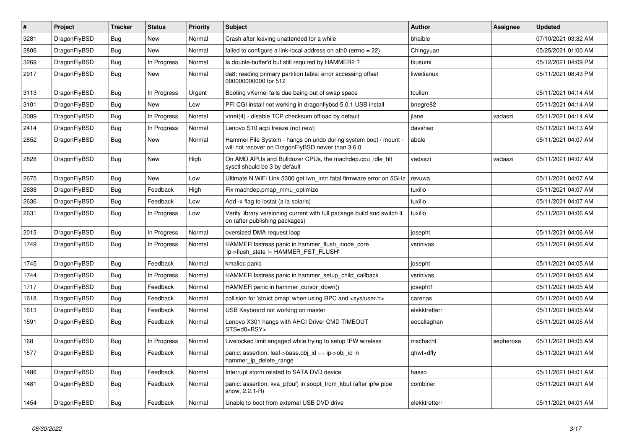| $\#$ | Project      | <b>Tracker</b> | <b>Status</b> | <b>Priority</b> | <b>Subject</b>                                                                                                       | <b>Author</b> | Assignee  | <b>Updated</b>      |
|------|--------------|----------------|---------------|-----------------|----------------------------------------------------------------------------------------------------------------------|---------------|-----------|---------------------|
| 3281 | DragonFlyBSD | Bug            | <b>New</b>    | Normal          | Crash after leaving unattended for a while                                                                           | bhaible       |           | 07/10/2021 03:32 AM |
| 2806 | DragonFlyBSD | <b>Bug</b>     | <b>New</b>    | Normal          | failed to configure a link-local address on ath0 (errno = 22)                                                        | Chingyuan     |           | 05/25/2021 01:00 AM |
| 3269 | DragonFlyBSD | Bug            | In Progress   | Normal          | Is double-buffer'd buf still required by HAMMER2?                                                                    | tkusumi       |           | 05/12/2021 04:09 PM |
| 2917 | DragonFlyBSD | <b>Bug</b>     | New           | Normal          | da8: reading primary partition table: error accessing offset<br>000000000000 for 512                                 | liweitianux   |           | 05/11/2021 08:43 PM |
| 3113 | DragonFlyBSD | Bug            | In Progress   | Urgent          | Booting vKernel fails due being out of swap space                                                                    | tcullen       |           | 05/11/2021 04:14 AM |
| 3101 | DragonFlyBSD | Bug            | New           | Low             | PFI CGI install not working in dragonflybsd 5.0.1 USB install                                                        | bnegre82      |           | 05/11/2021 04:14 AM |
| 3089 | DragonFlyBSD | <b>Bug</b>     | In Progress   | Normal          | vtnet(4) - disable TCP checksum offload by default                                                                   | jlane         | vadaszi   | 05/11/2021 04:14 AM |
| 2414 | DragonFlyBSD | Bug            | In Progress   | Normal          | Lenovo S10 acpi freeze (not new)                                                                                     | davshao       |           | 05/11/2021 04:13 AM |
| 2852 | DragonFlyBSD | <b>Bug</b>     | New           | Normal          | Hammer File System - hangs on undo during system boot / mount -<br>will not recover on DragonFlyBSD newer than 3.6.0 | abale         |           | 05/11/2021 04:07 AM |
| 2828 | DragonFlyBSD | Bug            | <b>New</b>    | High            | On AMD APUs and Bulldozer CPUs, the machdep.cpu_idle_hlt<br>sysctl should be 3 by default                            | vadaszi       | vadaszi   | 05/11/2021 04:07 AM |
| 2675 | DragonFlyBSD | <b>Bug</b>     | <b>New</b>    | Low             | Ultimate N WiFi Link 5300 get iwn intr: fatal firmware error on 5GHz                                                 | revuwa        |           | 05/11/2021 04:07 AM |
| 2638 | DragonFlyBSD | <b>Bug</b>     | Feedback      | High            | Fix machdep.pmap mmu optimize                                                                                        | tuxillo       |           | 05/11/2021 04:07 AM |
| 2636 | DragonFlyBSD | <b>Bug</b>     | Feedback      | Low             | Add -x flag to iostat (a la solaris)                                                                                 | tuxillo       |           | 05/11/2021 04:07 AM |
| 2631 | DragonFlyBSD | Bug            | In Progress   | Low             | Verify library versioning current with full package build and switch it<br>on (after publishing packages)            | tuxillo       |           | 05/11/2021 04:06 AM |
| 2013 | DragonFlyBSD | <b>Bug</b>     | In Progress   | Normal          | oversized DMA request loop                                                                                           | josepht       |           | 05/11/2021 04:06 AM |
| 1749 | DragonFlyBSD | Bug            | In Progress   | Normal          | HAMMER fsstress panic in hammer_flush_inode_core<br>'ip->flush state != HAMMER FST FLUSH'                            | vsrinivas     |           | 05/11/2021 04:06 AM |
| 1745 | DragonFlyBSD | <b>Bug</b>     | Feedback      | Normal          | kmalloc panic                                                                                                        | josepht       |           | 05/11/2021 04:05 AM |
| 1744 | DragonFlyBSD | <b>Bug</b>     | In Progress   | Normal          | HAMMER fsstress panic in hammer setup child callback                                                                 | vsrinivas     |           | 05/11/2021 04:05 AM |
| 1717 | DragonFlyBSD | Bug            | Feedback      | Normal          | HAMMER panic in hammer cursor down()                                                                                 | josepht1      |           | 05/11/2021 04:05 AM |
| 1618 | DragonFlyBSD | Bug            | Feedback      | Normal          | collision for 'struct pmap' when using RPC and <sys user.h=""></sys>                                                 | carenas       |           | 05/11/2021 04:05 AM |
| 1613 | DragonFlyBSD | <b>Bug</b>     | Feedback      | Normal          | USB Keyboard not working on master                                                                                   | elekktretterr |           | 05/11/2021 04:05 AM |
| 1591 | DragonFlyBSD | Bug            | Feedback      | Normal          | Lenovo X301 hangs with AHCI Driver CMD TIMEOUT<br>STS=d0 <bsy></bsy>                                                 | eocallaghan   |           | 05/11/2021 04:05 AM |
| 168  | DragonFlyBSD | <b>Bug</b>     | In Progress   | Normal          | Livelocked limit engaged while trying to setup IPW wireless                                                          | mschacht      | sepherosa | 05/11/2021 04:05 AM |
| 1577 | DragonFlyBSD | Bug            | Feedback      | Normal          | panic: assertion: leaf->base.obj_id == ip->obj_id in<br>hammer ip delete range                                       | qhwt+dfly     |           | 05/11/2021 04:01 AM |
| 1486 | DragonFlyBSD | <b>Bug</b>     | Feedback      | Normal          | Interrupt storm related to SATA DVD device                                                                           | hasso         |           | 05/11/2021 04:01 AM |
| 1481 | DragonFlyBSD | Bug            | Feedback      | Normal          | panic: assertion: kva_p(buf) in soopt_from_kbuf (after ipfw pipe<br>show, 2.2.1-R)                                   | combiner      |           | 05/11/2021 04:01 AM |
| 1454 | DragonFlyBSD | Bug            | Feedback      | Normal          | Unable to boot from external USB DVD drive                                                                           | elekktretterr |           | 05/11/2021 04:01 AM |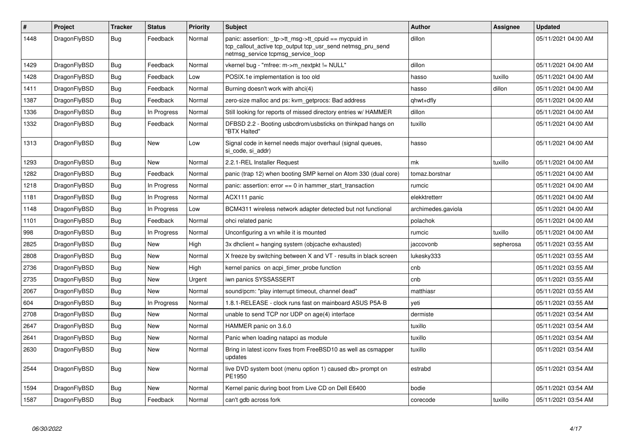| #    | Project      | <b>Tracker</b> | <b>Status</b> | <b>Priority</b> | <b>Subject</b>                                                                                                                                            | <b>Author</b>      | Assignee  | <b>Updated</b>      |
|------|--------------|----------------|---------------|-----------------|-----------------------------------------------------------------------------------------------------------------------------------------------------------|--------------------|-----------|---------------------|
| 1448 | DragonFlyBSD | <b>Bug</b>     | Feedback      | Normal          | panic: assertion: _tp->tt_msg->tt_cpuid == mycpuid in<br>tcp_callout_active tcp_output tcp_usr_send netmsg_pru_send<br>netmsg service tcpmsg service loop | dillon             |           | 05/11/2021 04:00 AM |
| 1429 | DragonFlyBSD | <b>Bug</b>     | Feedback      | Normal          | vkernel bug - "mfree: m->m nextpkt != NULL"                                                                                                               | dillon             |           | 05/11/2021 04:00 AM |
| 1428 | DragonFlyBSD | Bug            | Feedback      | Low             | POSIX.1e implementation is too old                                                                                                                        | hasso              | tuxillo   | 05/11/2021 04:00 AM |
| 1411 | DragonFlyBSD | Bug            | Feedback      | Normal          | Burning doesn't work with ahci(4)                                                                                                                         | hasso              | dillon    | 05/11/2021 04:00 AM |
| 1387 | DragonFlyBSD | Bug            | Feedback      | Normal          | zero-size malloc and ps: kvm getprocs: Bad address                                                                                                        | qhwt+dfly          |           | 05/11/2021 04:00 AM |
| 1336 | DragonFlyBSD | <b>Bug</b>     | In Progress   | Normal          | Still looking for reports of missed directory entries w/ HAMMER                                                                                           | dillon             |           | 05/11/2021 04:00 AM |
| 1332 | DragonFlyBSD | Bug            | Feedback      | Normal          | DFBSD 2.2 - Booting usbcdrom/usbsticks on thinkpad hangs on<br>"BTX Halted"                                                                               | tuxillo            |           | 05/11/2021 04:00 AM |
| 1313 | DragonFlyBSD | Bug            | <b>New</b>    | Low             | Signal code in kernel needs major overhaul (signal queues,<br>si code, si addr)                                                                           | hasso              |           | 05/11/2021 04:00 AM |
| 1293 | DragonFlyBSD | Bug            | New           | Normal          | 2.2.1-REL Installer Request                                                                                                                               | mk                 | tuxillo   | 05/11/2021 04:00 AM |
| 1282 | DragonFlyBSD | <b>Bug</b>     | Feedback      | Normal          | panic (trap 12) when booting SMP kernel on Atom 330 (dual core)                                                                                           | tomaz.borstnar     |           | 05/11/2021 04:00 AM |
| 1218 | DragonFlyBSD | Bug            | In Progress   | Normal          | panic: assertion: $error == 0$ in hammer start transaction                                                                                                | rumcic             |           | 05/11/2021 04:00 AM |
| 1181 | DragonFlyBSD | Bug            | In Progress   | Normal          | ACX111 panic                                                                                                                                              | elekktretterr      |           | 05/11/2021 04:00 AM |
| 1148 | DragonFlyBSD | <b>Bug</b>     | In Progress   | Low             | BCM4311 wireless network adapter detected but not functional                                                                                              | archimedes.gaviola |           | 05/11/2021 04:00 AM |
| 1101 | DragonFlyBSD | <b>Bug</b>     | Feedback      | Normal          | ohci related panic                                                                                                                                        | polachok           |           | 05/11/2021 04:00 AM |
| 998  | DragonFlyBSD | <b>Bug</b>     | In Progress   | Normal          | Unconfiguring a vn while it is mounted                                                                                                                    | rumcic             | tuxillo   | 05/11/2021 04:00 AM |
| 2825 | DragonFlyBSD | <b>Bug</b>     | <b>New</b>    | High            | 3x dhclient = hanging system (objcache exhausted)                                                                                                         | jaccovonb          | sepherosa | 05/11/2021 03:55 AM |
| 2808 | DragonFlyBSD | <b>Bug</b>     | <b>New</b>    | Normal          | X freeze by switching between X and VT - results in black screen                                                                                          | lukesky333         |           | 05/11/2021 03:55 AM |
| 2736 | DragonFlyBSD | <b>Bug</b>     | <b>New</b>    | High            | kernel panics on acpi timer probe function                                                                                                                | cnb                |           | 05/11/2021 03:55 AM |
| 2735 | DragonFlyBSD | Bug            | New           | Urgent          | iwn panics SYSSASSERT                                                                                                                                     | cnb                |           | 05/11/2021 03:55 AM |
| 2067 | DragonFlyBSD | Bug            | <b>New</b>    | Normal          | sound/pcm: "play interrupt timeout, channel dead"                                                                                                         | matthiasr          |           | 05/11/2021 03:55 AM |
| 604  | DragonFlyBSD | <b>Bug</b>     | In Progress   | Normal          | 1.8.1-RELEASE - clock runs fast on mainboard ASUS P5A-B                                                                                                   | veti               |           | 05/11/2021 03:55 AM |
| 2708 | DragonFlyBSD | Bug            | New           | Normal          | unable to send TCP nor UDP on age(4) interface                                                                                                            | dermiste           |           | 05/11/2021 03:54 AM |
| 2647 | DragonFlyBSD | Bug            | <b>New</b>    | Normal          | HAMMER panic on 3.6.0                                                                                                                                     | tuxillo            |           | 05/11/2021 03:54 AM |
| 2641 | DragonFlyBSD | <b>Bug</b>     | <b>New</b>    | Normal          | Panic when loading natapci as module                                                                                                                      | tuxillo            |           | 05/11/2021 03:54 AM |
| 2630 | DragonFlyBSD | Bug            | <b>New</b>    | Normal          | Bring in latest iconv fixes from FreeBSD10 as well as csmapper<br>updates                                                                                 | tuxillo            |           | 05/11/2021 03:54 AM |
| 2544 | DragonFlyBSD | <b>Bug</b>     | New           | Normal          | live DVD system boot (menu option 1) caused db> prompt on<br>PE1950                                                                                       | estrabd            |           | 05/11/2021 03:54 AM |
| 1594 | DragonFlyBSD | Bug            | New           | Normal          | Kernel panic during boot from Live CD on Dell E6400                                                                                                       | bodie              |           | 05/11/2021 03:54 AM |
| 1587 | DragonFlyBSD | <b>Bug</b>     | Feedback      | Normal          | can't gdb across fork                                                                                                                                     | corecode           | tuxillo   | 05/11/2021 03:54 AM |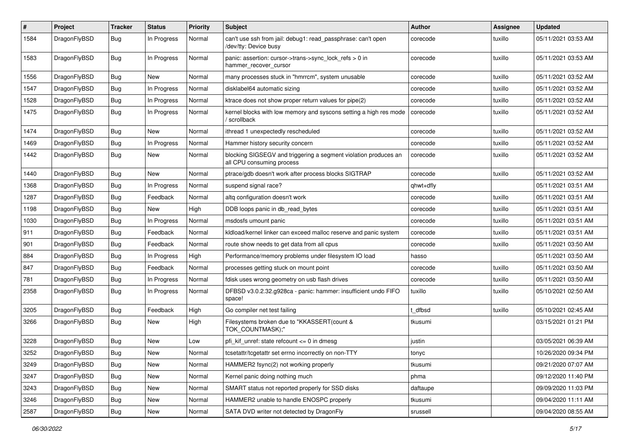| $\#$ | Project      | <b>Tracker</b> | <b>Status</b> | <b>Priority</b> | Subject                                                                                      | <b>Author</b> | <b>Assignee</b> | <b>Updated</b>      |
|------|--------------|----------------|---------------|-----------------|----------------------------------------------------------------------------------------------|---------------|-----------------|---------------------|
| 1584 | DragonFlyBSD | <b>Bug</b>     | In Progress   | Normal          | can't use ssh from jail: debug1: read_passphrase: can't open<br>/dev/tty: Device busy        | corecode      | tuxillo         | 05/11/2021 03:53 AM |
| 1583 | DragonFlyBSD | Bug            | In Progress   | Normal          | panic: assertion: cursor->trans->sync_lock_refs > 0 in<br>hammer recover cursor              | corecode      | tuxillo         | 05/11/2021 03:53 AM |
| 1556 | DragonFlyBSD | Bug            | <b>New</b>    | Normal          | many processes stuck in "hmrrcm", system unusable                                            | corecode      | tuxillo         | 05/11/2021 03:52 AM |
| 1547 | DragonFlyBSD | <b>Bug</b>     | In Progress   | Normal          | disklabel64 automatic sizing                                                                 | corecode      | tuxillo         | 05/11/2021 03:52 AM |
| 1528 | DragonFlyBSD | <b>Bug</b>     | In Progress   | Normal          | ktrace does not show proper return values for pipe(2)                                        | corecode      | tuxillo         | 05/11/2021 03:52 AM |
| 1475 | DragonFlyBSD | Bug            | In Progress   | Normal          | kernel blocks with low memory and syscons setting a high res mode<br>' scrollback            | corecode      | tuxillo         | 05/11/2021 03:52 AM |
| 1474 | DragonFlyBSD | Bug            | New           | Normal          | ithread 1 unexpectedly rescheduled                                                           | corecode      | tuxillo         | 05/11/2021 03:52 AM |
| 1469 | DragonFlyBSD | Bug            | In Progress   | Normal          | Hammer history security concern                                                              | corecode      | tuxillo         | 05/11/2021 03:52 AM |
| 1442 | DragonFlyBSD | Bug            | New           | Normal          | blocking SIGSEGV and triggering a segment violation produces an<br>all CPU consuming process | corecode      | tuxillo         | 05/11/2021 03:52 AM |
| 1440 | DragonFlyBSD | Bug            | New           | Normal          | ptrace/gdb doesn't work after process blocks SIGTRAP                                         | corecode      | tuxillo         | 05/11/2021 03:52 AM |
| 1368 | DragonFlyBSD | <b>Bug</b>     | In Progress   | Normal          | suspend signal race?                                                                         | qhwt+dfly     |                 | 05/11/2021 03:51 AM |
| 1287 | DragonFlyBSD | Bug            | Feedback      | Normal          | altg configuration doesn't work                                                              | corecode      | tuxillo         | 05/11/2021 03:51 AM |
| 1198 | DragonFlyBSD | <b>Bug</b>     | <b>New</b>    | High            | DDB loops panic in db_read_bytes                                                             | corecode      | tuxillo         | 05/11/2021 03:51 AM |
| 1030 | DragonFlyBSD | Bug            | In Progress   | Normal          | msdosfs umount panic                                                                         | corecode      | tuxillo         | 05/11/2021 03:51 AM |
| 911  | DragonFlyBSD | <b>Bug</b>     | Feedback      | Normal          | kldload/kernel linker can exceed malloc reserve and panic system                             | corecode      | tuxillo         | 05/11/2021 03:51 AM |
| 901  | DragonFlyBSD | <b>Bug</b>     | Feedback      | Normal          | route show needs to get data from all cpus                                                   | corecode      | tuxillo         | 05/11/2021 03:50 AM |
| 884  | DragonFlyBSD | <b>Bug</b>     | In Progress   | High            | Performance/memory problems under filesystem IO load                                         | hasso         |                 | 05/11/2021 03:50 AM |
| 847  | DragonFlyBSD | <b>Bug</b>     | Feedback      | Normal          | processes getting stuck on mount point                                                       | corecode      | tuxillo         | 05/11/2021 03:50 AM |
| 781  | DragonFlyBSD | <b>Bug</b>     | In Progress   | Normal          | fdisk uses wrong geometry on usb flash drives                                                | corecode      | tuxillo         | 05/11/2021 03:50 AM |
| 2358 | DragonFlyBSD | <b>Bug</b>     | In Progress   | Normal          | DFBSD v3.0.2.32.g928ca - panic: hammer: insufficient undo FIFO<br>space!                     | tuxillo       | tuxillo         | 05/10/2021 02:50 AM |
| 3205 | DragonFlyBSD | Bug            | Feedback      | High            | Go compiler net test failing                                                                 | : dfbsd       | tuxillo         | 05/10/2021 02:45 AM |
| 3266 | DragonFlyBSD | <b>Bug</b>     | New           | High            | Filesystems broken due to "KKASSERT(count &<br>TOK_COUNTMASK);"                              | tkusumi       |                 | 03/15/2021 01:21 PM |
| 3228 | DragonFlyBSD | <b>Bug</b>     | <b>New</b>    | Low             | pfi kif unref: state refcount $\leq 0$ in dmesg                                              | justin        |                 | 03/05/2021 06:39 AM |
| 3252 | DragonFlyBSD | Bug            | <b>New</b>    | Normal          | tcsetattr/tcgetattr set errno incorrectly on non-TTY                                         | tonyc         |                 | 10/26/2020 09:34 PM |
| 3249 | DragonFlyBSD | Bug            | New           | Normal          | HAMMER2 fsync(2) not working properly                                                        | tkusumi       |                 | 09/21/2020 07:07 AM |
| 3247 | DragonFlyBSD | Bug            | New           | Normal          | Kernel panic doing nothing much                                                              | phma          |                 | 09/12/2020 11:40 PM |
| 3243 | DragonFlyBSD | <b>Bug</b>     | New           | Normal          | SMART status not reported properly for SSD disks                                             | daftaupe      |                 | 09/09/2020 11:03 PM |
| 3246 | DragonFlyBSD | Bug            | New           | Normal          | HAMMER2 unable to handle ENOSPC properly                                                     | tkusumi       |                 | 09/04/2020 11:11 AM |
| 2587 | DragonFlyBSD | <b>Bug</b>     | New           | Normal          | SATA DVD writer not detected by DragonFly                                                    | srussell      |                 | 09/04/2020 08:55 AM |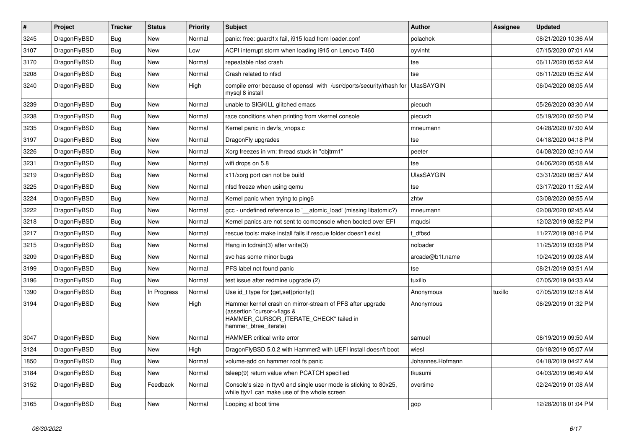| $\vert$ # | <b>Project</b> | <b>Tracker</b> | <b>Status</b> | <b>Priority</b> | <b>Subject</b>                                                                                                                                              | <b>Author</b>     | <b>Assignee</b> | <b>Updated</b>      |
|-----------|----------------|----------------|---------------|-----------------|-------------------------------------------------------------------------------------------------------------------------------------------------------------|-------------------|-----------------|---------------------|
| 3245      | DragonFlyBSD   | Bug            | <b>New</b>    | Normal          | panic: free: guard1x fail, i915 load from loader.conf                                                                                                       | polachok          |                 | 08/21/2020 10:36 AM |
| 3107      | DragonFlyBSD   | <b>Bug</b>     | <b>New</b>    | Low             | ACPI interrupt storm when loading i915 on Lenovo T460                                                                                                       | oyvinht           |                 | 07/15/2020 07:01 AM |
| 3170      | DragonFlyBSD   | <b>Bug</b>     | <b>New</b>    | Normal          | repeatable nfsd crash                                                                                                                                       | tse               |                 | 06/11/2020 05:52 AM |
| 3208      | DragonFlyBSD   | Bug            | <b>New</b>    | Normal          | Crash related to nfsd                                                                                                                                       | tse               |                 | 06/11/2020 05:52 AM |
| 3240      | DragonFlyBSD   | Bug            | <b>New</b>    | High            | compile error because of openssl with /usr/dports/security/rhash for<br>mysql 8 install                                                                     | <b>UlasSAYGIN</b> |                 | 06/04/2020 08:05 AM |
| 3239      | DragonFlyBSD   | Bug            | <b>New</b>    | Normal          | unable to SIGKILL glitched emacs                                                                                                                            | piecuch           |                 | 05/26/2020 03:30 AM |
| 3238      | DragonFlyBSD   | Bug            | <b>New</b>    | Normal          | race conditions when printing from vkernel console                                                                                                          | piecuch           |                 | 05/19/2020 02:50 PM |
| 3235      | DragonFlyBSD   | <b>Bug</b>     | <b>New</b>    | Normal          | Kernel panic in devfs vnops.c                                                                                                                               | mneumann          |                 | 04/28/2020 07:00 AM |
| 3197      | DragonFlyBSD   | <b>Bug</b>     | New           | Normal          | DragonFly upgrades                                                                                                                                          | tse               |                 | 04/18/2020 04:18 PM |
| 3226      | DragonFlyBSD   | Bug            | <b>New</b>    | Normal          | Xorg freezes in vm: thread stuck in "objtrm1"                                                                                                               | peeter            |                 | 04/08/2020 02:10 AM |
| 3231      | DragonFlyBSD   | Bug            | New           | Normal          | wifi drops on 5.8                                                                                                                                           | tse               |                 | 04/06/2020 05:08 AM |
| 3219      | DragonFlyBSD   | <b>Bug</b>     | New           | Normal          | x11/xorg port can not be build                                                                                                                              | <b>UlasSAYGIN</b> |                 | 03/31/2020 08:57 AM |
| 3225      | DragonFlyBSD   | <b>Bug</b>     | <b>New</b>    | Normal          | nfsd freeze when using gemu                                                                                                                                 | tse               |                 | 03/17/2020 11:52 AM |
| 3224      | DragonFlyBSD   | Bug            | <b>New</b>    | Normal          | Kernel panic when trying to ping6                                                                                                                           | zhtw              |                 | 03/08/2020 08:55 AM |
| 3222      | DragonFlyBSD   | Bug            | <b>New</b>    | Normal          | gcc - undefined reference to '__atomic_load' (missing libatomic?)                                                                                           | mneumann          |                 | 02/08/2020 02:45 AM |
| 3218      | DragonFlyBSD   | <b>Bug</b>     | New           | Normal          | Kernel panics are not sent to comconsole when booted over EFI                                                                                               | mqudsi            |                 | 12/02/2019 08:52 PM |
| 3217      | DragonFlyBSD   | <b>Bug</b>     | <b>New</b>    | Normal          | rescue tools: make install fails if rescue folder doesn't exist                                                                                             | dfbsd             |                 | 11/27/2019 08:16 PM |
| 3215      | DragonFlyBSD   | Bug            | <b>New</b>    | Normal          | Hang in tcdrain(3) after write(3)                                                                                                                           | noloader          |                 | 11/25/2019 03:08 PM |
| 3209      | DragonFlyBSD   | Bug            | <b>New</b>    | Normal          | svc has some minor bugs                                                                                                                                     | arcade@b1t.name   |                 | 10/24/2019 09:08 AM |
| 3199      | DragonFlyBSD   | <b>Bug</b>     | <b>New</b>    | Normal          | PFS label not found panic                                                                                                                                   | tse               |                 | 08/21/2019 03:51 AM |
| 3196      | DragonFlyBSD   | <b>Bug</b>     | <b>New</b>    | Normal          | test issue after redmine upgrade (2)                                                                                                                        | tuxillo           |                 | 07/05/2019 04:33 AM |
| 1390      | DragonFlyBSD   | Bug            | In Progress   | Normal          | Use id t type for $\{get, set\}$ priority $()$                                                                                                              | Anonymous         | tuxillo         | 07/05/2019 02:18 AM |
| 3194      | DragonFlyBSD   | <b>Bug</b>     | <b>New</b>    | High            | Hammer kernel crash on mirror-stream of PFS after upgrade<br>(assertion "cursor->flags &<br>HAMMER CURSOR ITERATE CHECK" failed in<br>hammer_btree_iterate) | Anonymous         |                 | 06/29/2019 01:32 PM |
| 3047      | DragonFlyBSD   | <b>Bug</b>     | <b>New</b>    | Normal          | <b>HAMMER</b> critical write error                                                                                                                          | samuel            |                 | 06/19/2019 09:50 AM |
| 3124      | DragonFlyBSD   | <b>Bug</b>     | <b>New</b>    | High            | DragonFlyBSD 5.0.2 with Hammer2 with UEFI install doesn't boot                                                                                              | wiesl             |                 | 06/18/2019 05:07 AM |
| 1850      | DragonFlyBSD   | Bug            | New           | Normal          | volume-add on hammer root fs panic                                                                                                                          | Johannes.Hofmann  |                 | 04/18/2019 04:27 AM |
| 3184      | DragonFlyBSD   | <b>Bug</b>     | <b>New</b>    | Normal          | tsleep(9) return value when PCATCH specified                                                                                                                | tkusumi           |                 | 04/03/2019 06:49 AM |
| 3152      | DragonFlyBSD   | <b>Bug</b>     | Feedback      | Normal          | Console's size in ttyv0 and single user mode is sticking to 80x25,<br>while ttyv1 can make use of the whole screen                                          | overtime          |                 | 02/24/2019 01:08 AM |
| 3165      | DragonFlyBSD   | Bug            | <b>New</b>    | Normal          | Looping at boot time                                                                                                                                        | gop               |                 | 12/28/2018 01:04 PM |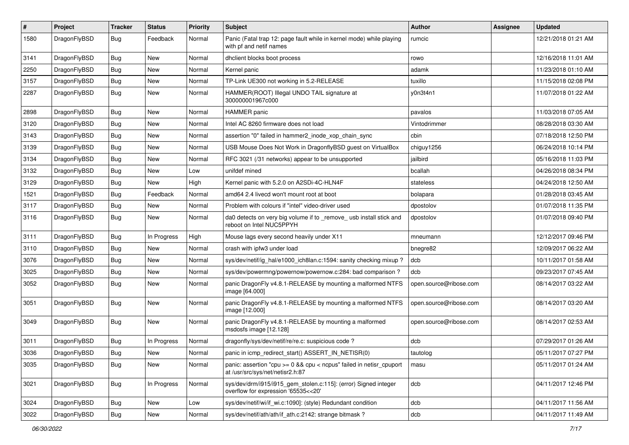| $\pmb{\#}$ | Project      | <b>Tracker</b> | <b>Status</b> | <b>Priority</b> | Subject                                                                                                 | Author                 | Assignee | <b>Updated</b>      |
|------------|--------------|----------------|---------------|-----------------|---------------------------------------------------------------------------------------------------------|------------------------|----------|---------------------|
| 1580       | DragonFlyBSD | Bug            | Feedback      | Normal          | Panic (Fatal trap 12: page fault while in kernel mode) while playing<br>with pf and netif names         | rumcic                 |          | 12/21/2018 01:21 AM |
| 3141       | DragonFlyBSD | <b>Bug</b>     | <b>New</b>    | Normal          | dhclient blocks boot process                                                                            | rowo                   |          | 12/16/2018 11:01 AM |
| 2250       | DragonFlyBSD | Bug            | <b>New</b>    | Normal          | Kernel panic                                                                                            | adamk                  |          | 11/23/2018 01:10 AM |
| 3157       | DragonFlyBSD | Bug            | <b>New</b>    | Normal          | TP-Link UE300 not working in 5.2-RELEASE                                                                | tuxillo                |          | 11/15/2018 02:08 PM |
| 2287       | DragonFlyBSD | Bug            | New           | Normal          | HAMMER(ROOT) Illegal UNDO TAIL signature at<br>300000001967c000                                         | y0n3t4n1               |          | 11/07/2018 01:22 AM |
| 2898       | DragonFlyBSD | <b>Bug</b>     | <b>New</b>    | Normal          | <b>HAMMER</b> panic                                                                                     | pavalos                |          | 11/03/2018 07:05 AM |
| 3120       | DragonFlyBSD | <b>Bug</b>     | <b>New</b>    | Normal          | Intel AC 8260 firmware does not load                                                                    | Vintodrimmer           |          | 08/28/2018 03:30 AM |
| 3143       | DragonFlyBSD | <b>Bug</b>     | <b>New</b>    | Normal          | assertion "0" failed in hammer2_inode_xop_chain_sync                                                    | cbin                   |          | 07/18/2018 12:50 PM |
| 3139       | DragonFlyBSD | <b>Bug</b>     | New           | Normal          | USB Mouse Does Not Work in DragonflyBSD guest on VirtualBox                                             | chiguy1256             |          | 06/24/2018 10:14 PM |
| 3134       | DragonFlyBSD | <b>Bug</b>     | <b>New</b>    | Normal          | RFC 3021 (/31 networks) appear to be unsupported                                                        | jailbird               |          | 05/16/2018 11:03 PM |
| 3132       | DragonFlyBSD | <b>Bug</b>     | <b>New</b>    | Low             | unifdef mined                                                                                           | bcallah                |          | 04/26/2018 08:34 PM |
| 3129       | DragonFlyBSD | <b>Bug</b>     | <b>New</b>    | High            | Kernel panic with 5.2.0 on A2SDi-4C-HLN4F                                                               | stateless              |          | 04/24/2018 12:50 AM |
| 1521       | DragonFlyBSD | Bug            | Feedback      | Normal          | amd64 2.4 livecd won't mount root at boot                                                               | bolapara               |          | 01/28/2018 03:45 AM |
| 3117       | DragonFlyBSD | <b>Bug</b>     | New           | Normal          | Problem with colours if "intel" video-driver used                                                       | dpostolov              |          | 01/07/2018 11:35 PM |
| 3116       | DragonFlyBSD | <b>Bug</b>     | New           | Normal          | da0 detects on very big volume if to _remove_ usb install stick and<br>reboot on Intel NUC5PPYH         | dpostolov              |          | 01/07/2018 09:40 PM |
| 3111       | DragonFlyBSD | <b>Bug</b>     | In Progress   | High            | Mouse lags every second heavily under X11                                                               | mneumann               |          | 12/12/2017 09:46 PM |
| 3110       | DragonFlyBSD | Bug            | <b>New</b>    | Normal          | crash with ipfw3 under load                                                                             | bnegre82               |          | 12/09/2017 06:22 AM |
| 3076       | DragonFlyBSD | <b>Bug</b>     | New           | Normal          | sys/dev/netif/ig hal/e1000 ich8lan.c:1594: sanity checking mixup?                                       | dcb                    |          | 10/11/2017 01:58 AM |
| 3025       | DragonFlyBSD | <b>Bug</b>     | New           | Normal          | sys/dev/powermng/powernow/powernow.c:284: bad comparison?                                               | dcb                    |          | 09/23/2017 07:45 AM |
| 3052       | DragonFlyBSD | Bug            | New           | Normal          | panic DragonFly v4.8.1-RELEASE by mounting a malformed NTFS<br>image [64.000]                           | open.source@ribose.com |          | 08/14/2017 03:22 AM |
| 3051       | DragonFlyBSD | <b>Bug</b>     | New           | Normal          | panic DragonFly v4.8.1-RELEASE by mounting a malformed NTFS<br>image [12.000]                           | open.source@ribose.com |          | 08/14/2017 03:20 AM |
| 3049       | DragonFlyBSD | Bug            | <b>New</b>    | Normal          | panic DragonFly v4.8.1-RELEASE by mounting a malformed<br>msdosfs image [12.128]                        | open.source@ribose.com |          | 08/14/2017 02:53 AM |
| 3011       | DragonFlyBSD | <b>Bug</b>     | In Progress   | Normal          | dragonfly/sys/dev/netif/re/re.c: suspicious code ?                                                      | dcb                    |          | 07/29/2017 01:26 AM |
| 3036       | DragonFlyBSD | Bug            | New           | Normal          | panic in icmp_redirect_start() ASSERT_IN_NETISR(0)                                                      | tautolog               |          | 05/11/2017 07:27 PM |
| 3035       | DragonFlyBSD | <b>Bug</b>     | New           | Normal          | panic: assertion "cpu >= 0 && cpu < ncpus" failed in netisr_cpuport<br>at /usr/src/sys/net/netisr2.h:87 | masu                   |          | 05/11/2017 01:24 AM |
| 3021       | DragonFlyBSD | Bug            | In Progress   | Normal          | sys/dev/drm/i915/i915_gem_stolen.c:115]: (error) Signed integer<br>overflow for expression '65535<<20'  | dcb                    |          | 04/11/2017 12:46 PM |
| 3024       | DragonFlyBSD | <b>Bug</b>     | <b>New</b>    | Low             | sys/dev/netif/wi/if_wi.c:1090]: (style) Redundant condition                                             | dcb                    |          | 04/11/2017 11:56 AM |
| 3022       | DragonFlyBSD | Bug            | New           | Normal          | sys/dev/netif/ath/ath/if_ath.c:2142: strange bitmask?                                                   | dcb                    |          | 04/11/2017 11:49 AM |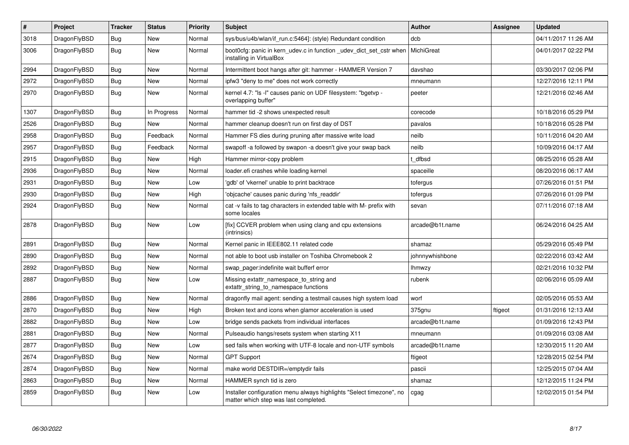| $\vert$ # | Project      | <b>Tracker</b> | <b>Status</b> | <b>Priority</b> | <b>Subject</b>                                                                                                | <b>Author</b>   | Assignee | <b>Updated</b>      |
|-----------|--------------|----------------|---------------|-----------------|---------------------------------------------------------------------------------------------------------------|-----------------|----------|---------------------|
| 3018      | DragonFlyBSD | <b>Bug</b>     | <b>New</b>    | Normal          | sys/bus/u4b/wlan/if run.c:5464]: (style) Redundant condition                                                  | dcb             |          | 04/11/2017 11:26 AM |
| 3006      | DragonFlyBSD | Bug            | New           | Normal          | boot0cfg: panic in kern udev.c in function udev dict set cstr when<br>installing in VirtualBox                | MichiGreat      |          | 04/01/2017 02:22 PM |
| 2994      | DragonFlyBSD | <b>Bug</b>     | New           | Normal          | Intermittent boot hangs after git: hammer - HAMMER Version 7                                                  | davshao         |          | 03/30/2017 02:06 PM |
| 2972      | DragonFlyBSD | Bug            | New           | Normal          | ipfw3 "deny to me" does not work correctly                                                                    | mneumann        |          | 12/27/2016 12:11 PM |
| 2970      | DragonFlyBSD | <b>Bug</b>     | <b>New</b>    | Normal          | kernel 4.7: "Is -I" causes panic on UDF filesystem: "bgetvp -<br>overlapping buffer"                          | peeter          |          | 12/21/2016 02:46 AM |
| 1307      | DragonFlyBSD | Bug            | In Progress   | Normal          | hammer tid -2 shows unexpected result                                                                         | corecode        |          | 10/18/2016 05:29 PM |
| 2526      | DragonFlyBSD | Bug            | New           | Normal          | hammer cleanup doesn't run on first day of DST                                                                | pavalos         |          | 10/18/2016 05:28 PM |
| 2958      | DragonFlyBSD | <b>Bug</b>     | Feedback      | Normal          | Hammer FS dies during pruning after massive write load                                                        | neilb           |          | 10/11/2016 04:20 AM |
| 2957      | DragonFlyBSD | <b>Bug</b>     | Feedback      | Normal          | swapoff -a followed by swapon -a doesn't give your swap back                                                  | neilb           |          | 10/09/2016 04:17 AM |
| 2915      | DragonFlyBSD | Bug            | <b>New</b>    | High            | Hammer mirror-copy problem                                                                                    | t dfbsd         |          | 08/25/2016 05:28 AM |
| 2936      | DragonFlyBSD | <b>Bug</b>     | New           | Normal          | loader.efi crashes while loading kernel                                                                       | spaceille       |          | 08/20/2016 06:17 AM |
| 2931      | DragonFlyBSD | Bug            | <b>New</b>    | Low             | 'gdb' of 'vkernel' unable to print backtrace                                                                  | tofergus        |          | 07/26/2016 01:51 PM |
| 2930      | DragonFlyBSD | <b>Bug</b>     | <b>New</b>    | High            | 'objcache' causes panic during 'nfs_readdir'                                                                  | tofergus        |          | 07/26/2016 01:09 PM |
| 2924      | DragonFlyBSD | Bug            | New           | Normal          | cat -v fails to tag characters in extended table with M- prefix with<br>some locales                          | sevan           |          | 07/11/2016 07:18 AM |
| 2878      | DragonFlyBSD | <b>Bug</b>     | <b>New</b>    | Low             | [fix] CCVER problem when using clang and cpu extensions<br>(intrinsics)                                       | arcade@b1t.name |          | 06/24/2016 04:25 AM |
| 2891      | DragonFlyBSD | Bug            | New           | Normal          | Kernel panic in IEEE802.11 related code                                                                       | shamaz          |          | 05/29/2016 05:49 PM |
| 2890      | DragonFlyBSD | <b>Bug</b>     | <b>New</b>    | Normal          | not able to boot usb installer on Toshiba Chromebook 2                                                        | johnnywhishbone |          | 02/22/2016 03:42 AM |
| 2892      | DragonFlyBSD | Bug            | <b>New</b>    | Normal          | swap pager: indefinite wait bufferf error                                                                     | <b>Ihmwzy</b>   |          | 02/21/2016 10:32 PM |
| 2887      | DragonFlyBSD | <b>Bug</b>     | <b>New</b>    | Low             | Missing extattr_namespace_to_string and<br>extattr_string_to_namespace functions                              | rubenk          |          | 02/06/2016 05:09 AM |
| 2886      | DragonFlyBSD | Bug            | <b>New</b>    | Normal          | dragonfly mail agent: sending a testmail causes high system load                                              | worf            |          | 02/05/2016 05:53 AM |
| 2870      | DragonFlyBSD | <b>Bug</b>     | <b>New</b>    | High            | Broken text and icons when glamor acceleration is used                                                        | 375gnu          | ftigeot  | 01/31/2016 12:13 AM |
| 2882      | DragonFlyBSD | Bug            | <b>New</b>    | Low             | bridge sends packets from individual interfaces                                                               | arcade@b1t.name |          | 01/09/2016 12:43 PM |
| 2881      | DragonFlyBSD | <b>Bug</b>     | New           | Normal          | Pulseaudio hangs/resets system when starting X11                                                              | mneumann        |          | 01/09/2016 03:08 AM |
| 2877      | DragonFlyBSD | Bug            | New           | Low             | sed fails when working with UTF-8 locale and non-UTF symbols                                                  | arcade@b1t.name |          | 12/30/2015 11:20 AM |
| 2674      | DragonFlyBSD | Bug            | New           | Normal          | <b>GPT Support</b>                                                                                            | ftigeot         |          | 12/28/2015 02:54 PM |
| 2874      | DragonFlyBSD | Bug            | <b>New</b>    | Normal          | make world DESTDIR=/emptydir fails                                                                            | pascii          |          | 12/25/2015 07:04 AM |
| 2863      | DragonFlyBSD | <b>Bug</b>     | <b>New</b>    | Normal          | HAMMER synch tid is zero                                                                                      | shamaz          |          | 12/12/2015 11:24 PM |
| 2859      | DragonFlyBSD | Bug            | New           | Low             | Installer configuration menu always highlights "Select timezone", no<br>matter which step was last completed. | cgag            |          | 12/02/2015 01:54 PM |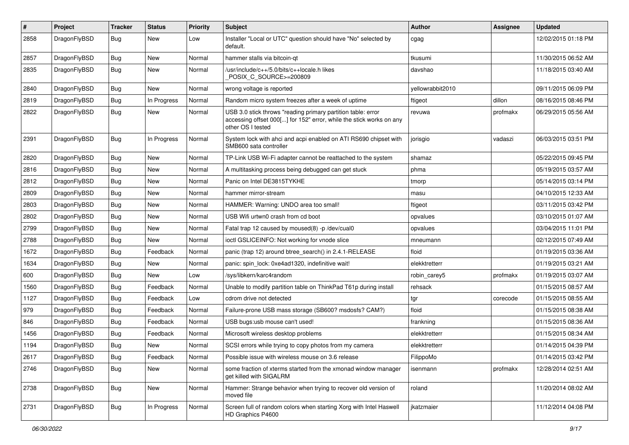| #    | Project      | <b>Tracker</b> | <b>Status</b> | <b>Priority</b> | Subject                                                                                                                                                  | Author           | Assignee | <b>Updated</b>      |
|------|--------------|----------------|---------------|-----------------|----------------------------------------------------------------------------------------------------------------------------------------------------------|------------------|----------|---------------------|
| 2858 | DragonFlyBSD | Bug            | New           | Low             | Installer "Local or UTC" question should have "No" selected by<br>default.                                                                               | cgag             |          | 12/02/2015 01:18 PM |
| 2857 | DragonFlyBSD | <b>Bug</b>     | <b>New</b>    | Normal          | hammer stalls via bitcoin-qt                                                                                                                             | tkusumi          |          | 11/30/2015 06:52 AM |
| 2835 | DragonFlyBSD | <b>Bug</b>     | <b>New</b>    | Normal          | /usr/include/c++/5.0/bits/c++locale.h likes<br>POSIX C_SOURCE>=200809                                                                                    | davshao          |          | 11/18/2015 03:40 AM |
| 2840 | DragonFlyBSD | Bug            | New           | Normal          | wrong voltage is reported                                                                                                                                | yellowrabbit2010 |          | 09/11/2015 06:09 PM |
| 2819 | DragonFlyBSD | <b>Bug</b>     | In Progress   | Normal          | Random micro system freezes after a week of uptime                                                                                                       | ftigeot          | dillon   | 08/16/2015 08:46 PM |
| 2822 | DragonFlyBSD | Bug            | New           | Normal          | USB 3.0 stick throws "reading primary partition table: error<br>accessing offset 000[] for 152" error, while the stick works on any<br>other OS I tested | revuwa           | profmakx | 06/29/2015 05:56 AM |
| 2391 | DragonFlyBSD | Bug            | In Progress   | Normal          | System lock with ahci and acpi enabled on ATI RS690 chipset with<br>SMB600 sata controller                                                               | jorisgio         | vadaszi  | 06/03/2015 03:51 PM |
| 2820 | DragonFlyBSD | Bug            | <b>New</b>    | Normal          | TP-Link USB Wi-Fi adapter cannot be reattached to the system                                                                                             | shamaz           |          | 05/22/2015 09:45 PM |
| 2816 | DragonFlyBSD | Bug            | New           | Normal          | A multitasking process being debugged can get stuck                                                                                                      | phma             |          | 05/19/2015 03:57 AM |
| 2812 | DragonFlyBSD | <b>Bug</b>     | New           | Normal          | Panic on Intel DE3815TYKHE                                                                                                                               | tmorp            |          | 05/14/2015 03:14 PM |
| 2809 | DragonFlyBSD | <b>Bug</b>     | New           | Normal          | hammer mirror-stream                                                                                                                                     | masu             |          | 04/10/2015 12:33 AM |
| 2803 | DragonFlyBSD | <b>Bug</b>     | <b>New</b>    | Normal          | HAMMER: Warning: UNDO area too small!                                                                                                                    | ftigeot          |          | 03/11/2015 03:42 PM |
| 2802 | DragonFlyBSD | <b>Bug</b>     | <b>New</b>    | Normal          | USB Wifi urtwn0 crash from cd boot                                                                                                                       | opvalues         |          | 03/10/2015 01:07 AM |
| 2799 | DragonFlyBSD | <b>Bug</b>     | <b>New</b>    | Normal          | Fatal trap 12 caused by moused(8) -p /dev/cual0                                                                                                          | opvalues         |          | 03/04/2015 11:01 PM |
| 2788 | DragonFlyBSD | <b>Bug</b>     | New           | Normal          | ioctl GSLICEINFO: Not working for vnode slice                                                                                                            | mneumann         |          | 02/12/2015 07:49 AM |
| 1672 | DragonFlyBSD | <b>Bug</b>     | Feedback      | Normal          | panic (trap 12) around btree_search() in 2.4.1-RELEASE                                                                                                   | floid            |          | 01/19/2015 03:36 AM |
| 1634 | DragonFlyBSD | <b>Bug</b>     | <b>New</b>    | Normal          | panic: spin lock: 0xe4ad1320, indefinitive wait!                                                                                                         | elekktretterr    |          | 01/19/2015 03:21 AM |
| 600  | DragonFlyBSD | <b>Bug</b>     | <b>New</b>    | Low             | /sys/libkern/karc4random                                                                                                                                 | robin_carey5     | profmakx | 01/19/2015 03:07 AM |
| 1560 | DragonFlyBSD | <b>Bug</b>     | Feedback      | Normal          | Unable to modify partition table on ThinkPad T61p during install                                                                                         | rehsack          |          | 01/15/2015 08:57 AM |
| 1127 | DragonFlyBSD | <b>Bug</b>     | Feedback      | Low             | cdrom drive not detected                                                                                                                                 | tgr              | corecode | 01/15/2015 08:55 AM |
| 979  | DragonFlyBSD | <b>Bug</b>     | Feedback      | Normal          | Failure-prone USB mass storage (SB600? msdosfs? CAM?)                                                                                                    | floid            |          | 01/15/2015 08:38 AM |
| 846  | DragonFlyBSD | Bug            | Feedback      | Normal          | USB bugs:usb mouse can't used!                                                                                                                           | frankning        |          | 01/15/2015 08:36 AM |
| 1456 | DragonFlyBSD | <b>Bug</b>     | Feedback      | Normal          | Microsoft wireless desktop problems                                                                                                                      | elekktretterr    |          | 01/15/2015 08:34 AM |
| 1194 | DragonFlyBSD | <b>Bug</b>     | New           | Normal          | SCSI errors while trying to copy photos from my camera                                                                                                   | elekktretterr    |          | 01/14/2015 04:39 PM |
| 2617 | DragonFlyBSD | <b>Bug</b>     | Feedback      | Normal          | Possible issue with wireless mouse on 3.6 release                                                                                                        | FilippoMo        |          | 01/14/2015 03:42 PM |
| 2746 | DragonFlyBSD | Bug            | New           | Normal          | some fraction of xterms started from the xmonad window manager<br>get killed with SIGALRM                                                                | isenmann         | profmakx | 12/28/2014 02:51 AM |
| 2738 | DragonFlyBSD | <b>Bug</b>     | New           | Normal          | Hammer: Strange behavior when trying to recover old version of<br>moved file                                                                             | roland           |          | 11/20/2014 08:02 AM |
| 2731 | DragonFlyBSD | Bug            | In Progress   | Normal          | Screen full of random colors when starting Xorg with Intel Haswell<br>HD Graphics P4600                                                                  | jkatzmaier       |          | 11/12/2014 04:08 PM |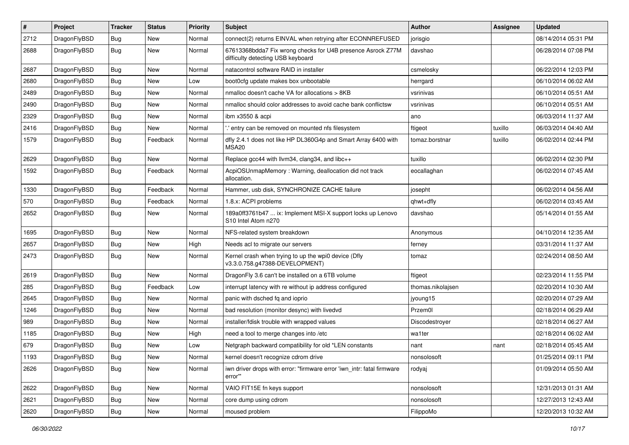| #    | Project      | <b>Tracker</b> | <b>Status</b> | <b>Priority</b> | Subject                                                                                          | Author            | Assignee | <b>Updated</b>      |
|------|--------------|----------------|---------------|-----------------|--------------------------------------------------------------------------------------------------|-------------------|----------|---------------------|
| 2712 | DragonFlyBSD | <b>Bug</b>     | New           | Normal          | connect(2) returns EINVAL when retrying after ECONNREFUSED                                       | jorisgio          |          | 08/14/2014 05:31 PM |
| 2688 | DragonFlyBSD | Bug            | New           | Normal          | 67613368bdda7 Fix wrong checks for U4B presence Asrock Z77M<br>difficulty detecting USB keyboard | davshao           |          | 06/28/2014 07:08 PM |
| 2687 | DragonFlyBSD | Bug            | <b>New</b>    | Normal          | natacontrol software RAID in installer                                                           | csmelosky         |          | 06/22/2014 12:03 PM |
| 2680 | DragonFlyBSD | <b>Bug</b>     | <b>New</b>    | Low             | boot0cfg update makes box unbootable                                                             | herrgard          |          | 06/10/2014 06:02 AM |
| 2489 | DragonFlyBSD | <b>Bug</b>     | New           | Normal          | nmalloc doesn't cache VA for allocations > 8KB                                                   | vsrinivas         |          | 06/10/2014 05:51 AM |
| 2490 | DragonFlyBSD | Bug            | <b>New</b>    | Normal          | nmalloc should color addresses to avoid cache bank conflictsw                                    | vsrinivas         |          | 06/10/2014 05:51 AM |
| 2329 | DragonFlyBSD | <b>Bug</b>     | New           | Normal          | ibm x3550 & acpi                                                                                 | ano               |          | 06/03/2014 11:37 AM |
| 2416 | DragonFlyBSD | Bug            | <b>New</b>    | Normal          | ' entry can be removed on mounted nfs filesystem                                                 | ftigeot           | tuxillo  | 06/03/2014 04:40 AM |
| 1579 | DragonFlyBSD | Bug            | Feedback      | Normal          | dfly 2.4.1 does not like HP DL360G4p and Smart Array 6400 with<br>MSA <sub>20</sub>              | tomaz.borstnar    | tuxillo  | 06/02/2014 02:44 PM |
| 2629 | DragonFlyBSD | Bug            | New           | Normal          | Replace gcc44 with llvm34, clang34, and libc++                                                   | tuxillo           |          | 06/02/2014 02:30 PM |
| 1592 | DragonFlyBSD | <b>Bug</b>     | Feedback      | Normal          | AcpiOSUnmapMemory: Warning, deallocation did not track<br>allocation.                            | eocallaghan       |          | 06/02/2014 07:45 AM |
| 1330 | DragonFlyBSD | Bug            | Feedback      | Normal          | Hammer, usb disk, SYNCHRONIZE CACHE failure                                                      | josepht           |          | 06/02/2014 04:56 AM |
| 570  | DragonFlyBSD | <b>Bug</b>     | Feedback      | Normal          | 1.8.x: ACPI problems                                                                             | qhwt+dfly         |          | 06/02/2014 03:45 AM |
| 2652 | DragonFlyBSD | Bug            | New           | Normal          | 189a0ff3761b47  ix: Implement MSI-X support locks up Lenovo<br>S10 Intel Atom n270               | davshao           |          | 05/14/2014 01:55 AM |
| 1695 | DragonFlyBSD | <b>Bug</b>     | <b>New</b>    | Normal          | NFS-related system breakdown                                                                     | Anonymous         |          | 04/10/2014 12:35 AM |
| 2657 | DragonFlyBSD | <b>Bug</b>     | <b>New</b>    | High            | Needs acl to migrate our servers                                                                 | ferney            |          | 03/31/2014 11:37 AM |
| 2473 | DragonFlyBSD | Bug            | <b>New</b>    | Normal          | Kernel crash when trying to up the wpi0 device (Dfly<br>v3.3.0.758.g47388-DEVELOPMENT)           | tomaz             |          | 02/24/2014 08:50 AM |
| 2619 | DragonFlyBSD | Bug            | <b>New</b>    | Normal          | DragonFly 3.6 can't be installed on a 6TB volume                                                 | ftigeot           |          | 02/23/2014 11:55 PM |
| 285  | DragonFlyBSD | Bug            | Feedback      | Low             | interrupt latency with re without ip address configured                                          | thomas.nikolajsen |          | 02/20/2014 10:30 AM |
| 2645 | DragonFlyBSD | Bug            | <b>New</b>    | Normal          | panic with dsched fq and ioprio                                                                  | jyoung15          |          | 02/20/2014 07:29 AM |
| 1246 | DragonFlyBSD | Bug            | <b>New</b>    | Normal          | bad resolution (monitor desync) with livedvd                                                     | Przem0l           |          | 02/18/2014 06:29 AM |
| 989  | DragonFlyBSD | Bug            | <b>New</b>    | Normal          | installer/fdisk trouble with wrapped values                                                      | Discodestroyer    |          | 02/18/2014 06:27 AM |
| 1185 | DragonFlyBSD | Bug            | <b>New</b>    | High            | need a tool to merge changes into /etc                                                           | wa1ter            |          | 02/18/2014 06:02 AM |
| 679  | DragonFlyBSD | <b>Bug</b>     | <b>New</b>    | Low             | Netgraph backward compatibility for old *LEN constants                                           | nant              | nant     | 02/18/2014 05:45 AM |
| 1193 | DragonFlyBSD | Bug            | New           | Normal          | kernel doesn't recognize cdrom drive                                                             | nonsolosoft       |          | 01/25/2014 09:11 PM |
| 2626 | DragonFlyBSD | Bug            | New           | Normal          | iwn driver drops with error: "firmware error 'iwn_intr: fatal firmware<br>error""                | rodyaj            |          | 01/09/2014 05:50 AM |
| 2622 | DragonFlyBSD | <b>Bug</b>     | New           | Normal          | VAIO FIT15E fn keys support                                                                      | nonsolosoft       |          | 12/31/2013 01:31 AM |
| 2621 | DragonFlyBSD | Bug            | New           | Normal          | core dump using cdrom                                                                            | nonsolosoft       |          | 12/27/2013 12:43 AM |
| 2620 | DragonFlyBSD | Bug            | New           | Normal          | moused problem                                                                                   | FilippoMo         |          | 12/20/2013 10:32 AM |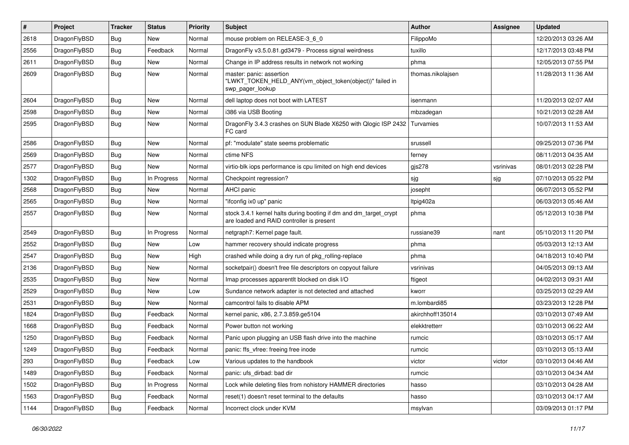| $\sharp$ | Project      | <b>Tracker</b> | <b>Status</b> | <b>Priority</b> | Subject                                                                                                        | <b>Author</b>     | <b>Assignee</b> | <b>Updated</b>      |
|----------|--------------|----------------|---------------|-----------------|----------------------------------------------------------------------------------------------------------------|-------------------|-----------------|---------------------|
| 2618     | DragonFlyBSD | Bug            | <b>New</b>    | Normal          | mouse problem on RELEASE-3_6_0                                                                                 | FilippoMo         |                 | 12/20/2013 03:26 AM |
| 2556     | DragonFlyBSD | <b>Bug</b>     | Feedback      | Normal          | DragonFly v3.5.0.81.gd3479 - Process signal weirdness                                                          | tuxillo           |                 | 12/17/2013 03:48 PM |
| 2611     | DragonFlyBSD | Bug            | New           | Normal          | Change in IP address results in network not working                                                            | phma              |                 | 12/05/2013 07:55 PM |
| 2609     | DragonFlyBSD | Bug            | <b>New</b>    | Normal          | master: panic: assertion<br>"LWKT_TOKEN_HELD_ANY(vm_object_token(object))" failed in<br>swp pager lookup       | thomas.nikolajsen |                 | 11/28/2013 11:36 AM |
| 2604     | DragonFlyBSD | Bug            | <b>New</b>    | Normal          | dell laptop does not boot with LATEST                                                                          | isenmann          |                 | 11/20/2013 02:07 AM |
| 2598     | DragonFlyBSD | Bug            | New           | Normal          | i386 via USB Booting                                                                                           | mbzadegan         |                 | 10/21/2013 02:28 AM |
| 2595     | DragonFlyBSD | Bug            | New           | Normal          | DragonFly 3.4.3 crashes on SUN Blade X6250 with Qlogic ISP 2432<br>FC card                                     | Turvamies         |                 | 10/07/2013 11:53 AM |
| 2586     | DragonFlyBSD | <b>Bug</b>     | New           | Normal          | pf: "modulate" state seems problematic                                                                         | srussell          |                 | 09/25/2013 07:36 PM |
| 2569     | DragonFlyBSD | Bug            | <b>New</b>    | Normal          | ctime NFS                                                                                                      | ferney            |                 | 08/11/2013 04:35 AM |
| 2577     | DragonFlyBSD | Bug            | <b>New</b>    | Normal          | virtio-blk iops performance is cpu limited on high end devices                                                 | gjs278            | vsrinivas       | 08/01/2013 02:28 PM |
| 1302     | DragonFlyBSD | Bug            | In Progress   | Normal          | Checkpoint regression?                                                                                         | sjg               | sjg             | 07/10/2013 05:22 PM |
| 2568     | DragonFlyBSD | Bug            | <b>New</b>    | Normal          | AHCI panic                                                                                                     | josepht           |                 | 06/07/2013 05:52 PM |
| 2565     | DragonFlyBSD | Bug            | <b>New</b>    | Normal          | "ifconfig ix0 up" panic                                                                                        | Itpig402a         |                 | 06/03/2013 05:46 AM |
| 2557     | DragonFlyBSD | Bug            | New           | Normal          | stock 3.4.1 kernel halts during booting if dm and dm_target_crypt<br>are loaded and RAID controller is present | phma              |                 | 05/12/2013 10:38 PM |
| 2549     | DragonFlyBSD | Bug            | In Progress   | Normal          | netgraph7: Kernel page fault.                                                                                  | russiane39        | nant            | 05/10/2013 11:20 PM |
| 2552     | DragonFlyBSD | Bug            | <b>New</b>    | Low             | hammer recovery should indicate progress                                                                       | phma              |                 | 05/03/2013 12:13 AM |
| 2547     | DragonFlyBSD | Bug            | New           | High            | crashed while doing a dry run of pkg_rolling-replace                                                           | phma              |                 | 04/18/2013 10:40 PM |
| 2136     | DragonFlyBSD | Bug            | <b>New</b>    | Normal          | socketpair() doesn't free file descriptors on copyout failure                                                  | vsrinivas         |                 | 04/05/2013 09:13 AM |
| 2535     | DragonFlyBSD | Bug            | New           | Normal          | Imap processes apparentlt blocked on disk I/O                                                                  | ftigeot           |                 | 04/02/2013 09:31 AM |
| 2529     | DragonFlyBSD | Bug            | New           | Low             | Sundance network adapter is not detected and attached                                                          | kworr             |                 | 03/25/2013 02:29 AM |
| 2531     | DragonFlyBSD | <b>Bug</b>     | New           | Normal          | camcontrol fails to disable APM                                                                                | m.lombardi85      |                 | 03/23/2013 12:28 PM |
| 1824     | DragonFlyBSD | Bug            | Feedback      | Normal          | kernel panic, x86, 2.7.3.859.ge5104                                                                            | akirchhoff135014  |                 | 03/10/2013 07:49 AM |
| 1668     | DragonFlyBSD | <b>Bug</b>     | Feedback      | Normal          | Power button not working                                                                                       | elekktretterr     |                 | 03/10/2013 06:22 AM |
| 1250     | DragonFlyBSD | <b>Bug</b>     | Feedback      | Normal          | Panic upon plugging an USB flash drive into the machine                                                        | rumcic            |                 | 03/10/2013 05:17 AM |
| 1249     | DragonFlyBSD | Bug            | Feedback      | Normal          | panic: ffs vfree: freeing free inode                                                                           | rumcic            |                 | 03/10/2013 05:13 AM |
| 293      | DragonFlyBSD | <b>Bug</b>     | Feedback      | Low             | Various updates to the handbook                                                                                | victor            | victor          | 03/10/2013 04:46 AM |
| 1489     | DragonFlyBSD | <b>Bug</b>     | Feedback      | Normal          | panic: ufs dirbad: bad dir                                                                                     | rumcic            |                 | 03/10/2013 04:34 AM |
| 1502     | DragonFlyBSD | <b>Bug</b>     | In Progress   | Normal          | Lock while deleting files from nohistory HAMMER directories                                                    | hasso             |                 | 03/10/2013 04:28 AM |
| 1563     | DragonFlyBSD | <b>Bug</b>     | Feedback      | Normal          | reset(1) doesn't reset terminal to the defaults                                                                | hasso             |                 | 03/10/2013 04:17 AM |
| 1144     | DragonFlyBSD | <b>Bug</b>     | Feedback      | Normal          | Incorrect clock under KVM                                                                                      | msylvan           |                 | 03/09/2013 01:17 PM |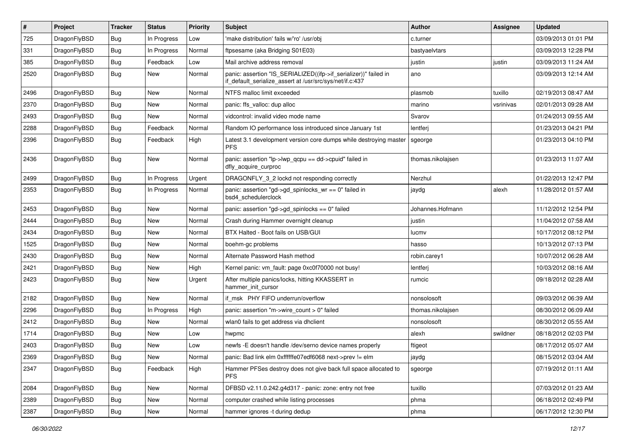| $\pmb{\#}$ | Project      | <b>Tracker</b> | <b>Status</b> | <b>Priority</b> | Subject                                                                                                                      | <b>Author</b>     | Assignee  | <b>Updated</b>      |
|------------|--------------|----------------|---------------|-----------------|------------------------------------------------------------------------------------------------------------------------------|-------------------|-----------|---------------------|
| 725        | DragonFlyBSD | <b>Bug</b>     | In Progress   | Low             | 'make distribution' fails w/'ro' /usr/obj                                                                                    | c.turner          |           | 03/09/2013 01:01 PM |
| 331        | DragonFlyBSD | <b>Bug</b>     | In Progress   | Normal          | ftpsesame (aka Bridging S01E03)                                                                                              | bastyaelvtars     |           | 03/09/2013 12:28 PM |
| 385        | DragonFlyBSD | <b>Bug</b>     | Feedback      | Low             | Mail archive address removal                                                                                                 | justin            | justin    | 03/09/2013 11:24 AM |
| 2520       | DragonFlyBSD | Bug            | New           | Normal          | panic: assertion "IS_SERIALIZED((ifp->if_serializer))" failed in<br>if_default_serialize_assert at /usr/src/sys/net/if.c:437 | ano               |           | 03/09/2013 12:14 AM |
| 2496       | DragonFlyBSD | <b>Bug</b>     | <b>New</b>    | Normal          | NTFS malloc limit exceeded                                                                                                   | plasmob           | tuxillo   | 02/19/2013 08:47 AM |
| 2370       | DragonFlyBSD | <b>Bug</b>     | <b>New</b>    | Normal          | panic: ffs_valloc: dup alloc                                                                                                 | marino            | vsrinivas | 02/01/2013 09:28 AM |
| 2493       | DragonFlyBSD | <b>Bug</b>     | <b>New</b>    | Normal          | vidcontrol: invalid video mode name                                                                                          | Svarov            |           | 01/24/2013 09:55 AM |
| 2288       | DragonFlyBSD | Bug            | Feedback      | Normal          | Random IO performance loss introduced since January 1st                                                                      | lentferj          |           | 01/23/2013 04:21 PM |
| 2396       | DragonFlyBSD | Bug            | Feedback      | High            | Latest 3.1 development version core dumps while destroying master<br><b>PFS</b>                                              | sgeorge           |           | 01/23/2013 04:10 PM |
| 2436       | DragonFlyBSD | Bug            | <b>New</b>    | Normal          | panic: assertion "lp->lwp_qcpu == dd->cpuid" failed in<br>dfly acquire curproc                                               | thomas.nikolajsen |           | 01/23/2013 11:07 AM |
| 2499       | DragonFlyBSD | <b>Bug</b>     | In Progress   | Urgent          | DRAGONFLY_3_2 lockd not responding correctly                                                                                 | Nerzhul           |           | 01/22/2013 12:47 PM |
| 2353       | DragonFlyBSD | <b>Bug</b>     | In Progress   | Normal          | panic: assertion "gd->gd_spinlocks_wr == 0" failed in<br>bsd4_schedulerclock                                                 | jaydg             | alexh     | 11/28/2012 01:57 AM |
| 2453       | DragonFlyBSD | Bug            | <b>New</b>    | Normal          | panic: assertion "gd->gd_spinlocks == 0" failed                                                                              | Johannes.Hofmann  |           | 11/12/2012 12:54 PM |
| 2444       | DragonFlyBSD | <b>Bug</b>     | <b>New</b>    | Normal          | Crash during Hammer overnight cleanup                                                                                        | justin            |           | 11/04/2012 07:58 AM |
| 2434       | DragonFlyBSD | <b>Bug</b>     | <b>New</b>    | Normal          | BTX Halted - Boot fails on USB/GUI                                                                                           | lucmv             |           | 10/17/2012 08:12 PM |
| 1525       | DragonFlyBSD | Bug            | <b>New</b>    | Normal          | boehm-gc problems                                                                                                            | hasso             |           | 10/13/2012 07:13 PM |
| 2430       | DragonFlyBSD | <b>Bug</b>     | <b>New</b>    | Normal          | Alternate Password Hash method                                                                                               | robin.carey1      |           | 10/07/2012 06:28 AM |
| 2421       | DragonFlyBSD | <b>Bug</b>     | <b>New</b>    | High            | Kernel panic: vm_fault: page 0xc0f70000 not busy!                                                                            | lentferj          |           | 10/03/2012 08:16 AM |
| 2423       | DragonFlyBSD | <b>Bug</b>     | <b>New</b>    | Urgent          | After multiple panics/locks, hitting KKASSERT in<br>hammer init cursor                                                       | rumcic            |           | 09/18/2012 02:28 AM |
| 2182       | DragonFlyBSD | Bug            | <b>New</b>    | Normal          | if msk PHY FIFO underrun/overflow                                                                                            | nonsolosoft       |           | 09/03/2012 06:39 AM |
| 2296       | DragonFlyBSD | <b>Bug</b>     | In Progress   | High            | panic: assertion "m->wire count > 0" failed                                                                                  | thomas.nikolajsen |           | 08/30/2012 06:09 AM |
| 2412       | DragonFlyBSD | <b>Bug</b>     | New           | Normal          | wlan0 fails to get address via dhclient                                                                                      | nonsolosoft       |           | 08/30/2012 05:55 AM |
| 1714       | DragonFlyBSD | Bug            | <b>New</b>    | Low             | hwpmc                                                                                                                        | alexh             | swildner  | 08/18/2012 02:03 PM |
| 2403       | DragonFlyBSD | <b>Bug</b>     | New           | Low             | newfs -E doesn't handle /dev/serno device names properly                                                                     | ftigeot           |           | 08/17/2012 05:07 AM |
| 2369       | DragonFlyBSD | Bug            | New           | Normal          | panic: Bad link elm 0xffffffe07edf6068 next->prev != elm                                                                     | jaydg             |           | 08/15/2012 03:04 AM |
| 2347       | DragonFlyBSD | Bug            | Feedback      | High            | Hammer PFSes destroy does not give back full space allocated to<br><b>PFS</b>                                                | sgeorge           |           | 07/19/2012 01:11 AM |
| 2084       | DragonFlyBSD | <b>Bug</b>     | New           | Normal          | DFBSD v2.11.0.242.g4d317 - panic: zone: entry not free                                                                       | tuxillo           |           | 07/03/2012 01:23 AM |
| 2389       | DragonFlyBSD | Bug            | New           | Normal          | computer crashed while listing processes                                                                                     | phma              |           | 06/18/2012 02:49 PM |
| 2387       | DragonFlyBSD | <b>Bug</b>     | New           | Normal          | hammer ignores -t during dedup                                                                                               | phma              |           | 06/17/2012 12:30 PM |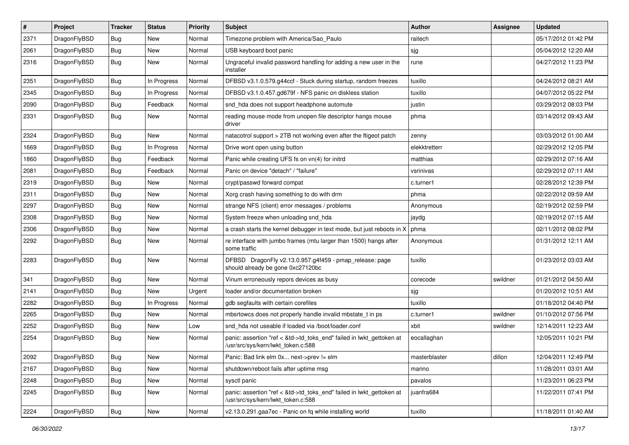| $\sharp$ | Project      | <b>Tracker</b> | <b>Status</b> | <b>Priority</b> | Subject                                                                                                    | <b>Author</b> | <b>Assignee</b> | <b>Updated</b>      |
|----------|--------------|----------------|---------------|-----------------|------------------------------------------------------------------------------------------------------------|---------------|-----------------|---------------------|
| 2371     | DragonFlyBSD | Bug            | <b>New</b>    | Normal          | Timezone problem with America/Sao_Paulo                                                                    | raitech       |                 | 05/17/2012 01:42 PM |
| 2061     | DragonFlyBSD | <b>Bug</b>     | New           | Normal          | USB keyboard boot panic                                                                                    | sjg           |                 | 05/04/2012 12:20 AM |
| 2316     | DragonFlyBSD | <b>Bug</b>     | New           | Normal          | Ungraceful invalid password handling for adding a new user in the<br>installer                             | rune          |                 | 04/27/2012 11:23 PM |
| 2351     | DragonFlyBSD | <b>Bug</b>     | In Progress   | Normal          | DFBSD v3.1.0.579.g44ccf - Stuck during startup, random freezes                                             | tuxillo       |                 | 04/24/2012 08:21 AM |
| 2345     | DragonFlyBSD | <b>Bug</b>     | In Progress   | Normal          | DFBSD v3.1.0.457.gd679f - NFS panic on diskless station                                                    | tuxillo       |                 | 04/07/2012 05:22 PM |
| 2090     | DragonFlyBSD | <b>Bug</b>     | Feedback      | Normal          | snd_hda does not support headphone automute                                                                | justin        |                 | 03/29/2012 08:03 PM |
| 2331     | DragonFlyBSD | <b>Bug</b>     | <b>New</b>    | Normal          | reading mouse mode from unopen file descriptor hangs mouse<br>driver                                       | phma          |                 | 03/14/2012 09:43 AM |
| 2324     | DragonFlyBSD | <b>Bug</b>     | New           | Normal          | natacotrol support > 2TB not working even after the ftigeot patch                                          | zenny         |                 | 03/03/2012 01:00 AM |
| 1669     | DragonFlyBSD | <b>Bug</b>     | In Progress   | Normal          | Drive wont open using button                                                                               | elekktretterr |                 | 02/29/2012 12:05 PM |
| 1860     | DragonFlyBSD | <b>Bug</b>     | Feedback      | Normal          | Panic while creating UFS fs on vn(4) for initrd                                                            | matthias      |                 | 02/29/2012 07:16 AM |
| 2081     | DragonFlyBSD | <b>Bug</b>     | Feedback      | Normal          | Panic on device "detach" / "failure"                                                                       | vsrinivas     |                 | 02/29/2012 07:11 AM |
| 2319     | DragonFlyBSD | <b>Bug</b>     | New           | Normal          | crypt/passwd forward compat                                                                                | c.turner1     |                 | 02/28/2012 12:39 PM |
| 2311     | DragonFlyBSD | <b>Bug</b>     | New           | Normal          | Xorg crash having something to do with drm                                                                 | phma          |                 | 02/22/2012 09:59 AM |
| 2297     | DragonFlyBSD | <b>Bug</b>     | <b>New</b>    | Normal          | strange NFS (client) error messages / problems                                                             | Anonymous     |                 | 02/19/2012 02:59 PM |
| 2308     | DragonFlyBSD | <b>Bug</b>     | <b>New</b>    | Normal          | System freeze when unloading snd hda                                                                       | jaydg         |                 | 02/19/2012 07:15 AM |
| 2306     | DragonFlyBSD | <b>Bug</b>     | <b>New</b>    | Normal          | a crash starts the kernel debugger in text mode, but just reboots in X                                     | phma          |                 | 02/11/2012 08:02 PM |
| 2292     | DragonFlyBSD | <b>Bug</b>     | New           | Normal          | re interface with jumbo frames (mtu larger than 1500) hangs after<br>some traffic                          | Anonymous     |                 | 01/31/2012 12:11 AM |
| 2283     | DragonFlyBSD | Bug            | <b>New</b>    | Normal          | DFBSD DragonFly v2.13.0.957.g4f459 - pmap_release: page<br>should already be gone 0xc27120bc               | tuxillo       |                 | 01/23/2012 03:03 AM |
| 341      | DragonFlyBSD | <b>Bug</b>     | New           | Normal          | Vinum erroneously repors devices as busy                                                                   | corecode      | swildner        | 01/21/2012 04:50 AM |
| 2141     | DragonFlyBSD | <b>Bug</b>     | New           | Urgent          | loader and/or documentation broken                                                                         | sjg           |                 | 01/20/2012 10:51 AM |
| 2282     | DragonFlyBSD | <b>Bug</b>     | In Progress   | Normal          | gdb segfaults with certain corefiles                                                                       | tuxillo       |                 | 01/18/2012 04:40 PM |
| 2265     | DragonFlyBSD | <b>Bug</b>     | New           | Normal          | mbsrtowcs does not properly handle invalid mbstate_t in ps                                                 | c.turner1     | swildner        | 01/10/2012 07:56 PM |
| 2252     | DragonFlyBSD | <b>Bug</b>     | New           | Low             | snd hda not useable if loaded via /boot/loader.conf                                                        | xbit          | swildner        | 12/14/2011 12:23 AM |
| 2254     | DragonFlyBSD | <b>Bug</b>     | New           | Normal          | panic: assertion "ref < &td->td_toks_end" failed in lwkt_gettoken at<br>/usr/src/sys/kern/lwkt_token.c:588 | eocallaghan   |                 | 12/05/2011 10:21 PM |
| 2092     | DragonFlyBSD | <b>Bug</b>     | New           | Normal          | Panic: Bad link elm 0x next->prev != elm                                                                   | masterblaster | dillon          | 12/04/2011 12:49 PM |
| 2167     | DragonFlyBSD | <b>Bug</b>     | <b>New</b>    | Normal          | shutdown/reboot fails after uptime msg                                                                     | marino        |                 | 11/28/2011 03:01 AM |
| 2248     | DragonFlyBSD | <b>Bug</b>     | New           | Normal          | sysctl panic                                                                                               | pavalos       |                 | 11/23/2011 06:23 PM |
| 2245     | DragonFlyBSD | Bug            | New           | Normal          | panic: assertion "ref < &td->td toks end" failed in lwkt gettoken at<br>/usr/src/sys/kern/lwkt token.c:588 | juanfra684    |                 | 11/22/2011 07:41 PM |
| 2224     | DragonFlyBSD | <b>Bug</b>     | New           | Normal          | v2.13.0.291.gaa7ec - Panic on fq while installing world                                                    | tuxillo       |                 | 11/18/2011 01:40 AM |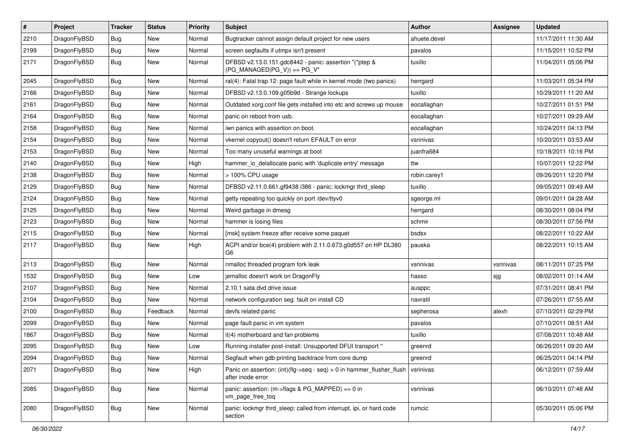| $\sharp$ | Project      | <b>Tracker</b> | <b>Status</b> | <b>Priority</b> | Subject                                                                                    | <b>Author</b> | Assignee  | <b>Updated</b>      |
|----------|--------------|----------------|---------------|-----------------|--------------------------------------------------------------------------------------------|---------------|-----------|---------------------|
| 2210     | DragonFlyBSD | <b>Bug</b>     | New           | Normal          | Bugtracker cannot assign default project for new users                                     | ahuete.devel  |           | 11/17/2011 11:30 AM |
| 2199     | DragonFlyBSD | Bug            | New           | Normal          | screen segfaults if utmpx isn't present                                                    | pavalos       |           | 11/15/2011 10:52 PM |
| 2171     | DragonFlyBSD | <b>Bug</b>     | New           | Normal          | DFBSD v2.13.0.151.gdc8442 - panic: assertion "(*ptep &<br>$(PG_MANAGED PG_V)$ == PG_V"     | tuxillo       |           | 11/04/2011 05:06 PM |
| 2045     | DragonFlyBSD | Bug            | <b>New</b>    | Normal          | ral(4): Fatal trap 12: page fault while in kernel mode (two panics)                        | herrgard      |           | 11/03/2011 05:34 PM |
| 2166     | DragonFlyBSD | <b>Bug</b>     | New           | Normal          | DFBSD v2.13.0.109.g05b9d - Strange lockups                                                 | tuxillo       |           | 10/29/2011 11:20 AM |
| 2161     | DragonFlyBSD | <b>Bug</b>     | New           | Normal          | Outdated xorg.conf file gets installed into etc and screws up mouse                        | eocallaghan   |           | 10/27/2011 01:51 PM |
| 2164     | DragonFlyBSD | <b>Bug</b>     | <b>New</b>    | Normal          | panic on reboot from usb.                                                                  | eocallaghan   |           | 10/27/2011 09:29 AM |
| 2158     | DragonFlyBSD | <b>Bug</b>     | New           | Normal          | iwn panics with assertion on boot.                                                         | eocallaghan   |           | 10/24/2011 04:13 PM |
| 2154     | DragonFlyBSD | Bug            | <b>New</b>    | Normal          | vkernel copyout() doesn't return EFAULT on error                                           | vsrinivas     |           | 10/20/2011 03:53 AM |
| 2153     | DragonFlyBSD | <b>Bug</b>     | New           | Normal          | Too many unuseful warnings at boot                                                         | juanfra684    |           | 10/18/2011 10:16 PM |
| 2140     | DragonFlyBSD | <b>Bug</b>     | New           | High            | hammer io delallocate panic with 'duplicate entry' message                                 | ttw           |           | 10/07/2011 12:22 PM |
| 2138     | DragonFlyBSD | <b>Bug</b>     | New           | Normal          | > 100% CPU usage                                                                           | robin.carey1  |           | 09/26/2011 12:20 PM |
| 2129     | DragonFlyBSD | <b>Bug</b>     | <b>New</b>    | Normal          | DFBSD v2.11.0.661.gf9438 i386 - panic: lockmgr thrd_sleep                                  | tuxillo       |           | 09/05/2011 09:49 AM |
| 2124     | DragonFlyBSD | Bug            | New           | Normal          | getty repeating too quickly on port /dev/ttyv0                                             | sgeorge.ml    |           | 09/01/2011 04:28 AM |
| 2125     | DragonFlyBSD | <b>Bug</b>     | <b>New</b>    | Normal          | Weird garbage in dmesg                                                                     | herrgard      |           | 08/30/2011 08:04 PM |
| 2123     | DragonFlyBSD | <b>Bug</b>     | <b>New</b>    | Normal          | hammer is losing files                                                                     | schmir        |           | 08/30/2011 07:56 PM |
| 2115     | DragonFlyBSD | <b>Bug</b>     | New           | Normal          | [msk] system freeze after receive some paquet                                              | bsdsx         |           | 08/22/2011 10:22 AM |
| 2117     | DragonFlyBSD | <b>Bug</b>     | <b>New</b>    | High            | ACPI and/or bce(4) problem with 2.11.0.673.g0d557 on HP DL380<br>G <sub>6</sub>            | pauska        |           | 08/22/2011 10:15 AM |
| 2113     | DragonFlyBSD | Bug            | New           | Normal          | nmalloc threaded program fork leak                                                         | vsrinivas     | vsrinivas | 08/11/2011 07:25 PM |
| 1532     | DragonFlyBSD | <b>Bug</b>     | New           | Low             | jemalloc doesn't work on DragonFly                                                         | hasso         | sjg       | 08/02/2011 01:14 AM |
| 2107     | DragonFlyBSD | Bug            | New           | Normal          | 2.10.1 sata dvd drive issue                                                                | ausppc        |           | 07/31/2011 08:41 PM |
| 2104     | DragonFlyBSD | Bug            | New           | Normal          | network configuration seg. fault on install CD                                             | navratil      |           | 07/26/2011 07:55 AM |
| 2100     | DragonFlyBSD | Bug            | Feedback      | Normal          | devfs related panic                                                                        | sepherosa     | alexh     | 07/10/2011 02:29 PM |
| 2099     | DragonFlyBSD | Bug            | New           | Normal          | page fault panic in vm system                                                              | pavalos       |           | 07/10/2011 08:51 AM |
| 1867     | DragonFlyBSD | Bug            | New           | Normal          | it(4) motherboard and fan problems                                                         | tuxillo       |           | 07/08/2011 10:48 AM |
| 2095     | DragonFlyBSD | Bug            | New           | Low             | Running installer post-install: Unsupported DFUI transport "                               | greenrd       |           | 06/26/2011 09:20 AM |
| 2094     | DragonFlyBSD | <b>Bug</b>     | New           | Normal          | Segfault when gdb printing backtrace from core dump                                        | greenrd       |           | 06/25/2011 04:14 PM |
| 2071     | DragonFlyBSD | Bug            | New           | High            | Panic on assertion: (int)(flg->seq - seq) > 0 in hammer_flusher_flush<br>after inode error | vsrinivas     |           | 06/12/2011 07:59 AM |
| 2085     | DragonFlyBSD | <b>Bug</b>     | New           | Normal          | panic: assertion: (m->flags & PG_MAPPED) == 0 in<br>vm_page_free_toq                       | vsrinivas     |           | 06/10/2011 07:48 AM |
| 2080     | DragonFlyBSD | <b>Bug</b>     | New           | Normal          | panic: lockmgr thrd sleep: called from interrupt, ipi, or hard code<br>section             | rumcic        |           | 05/30/2011 05:06 PM |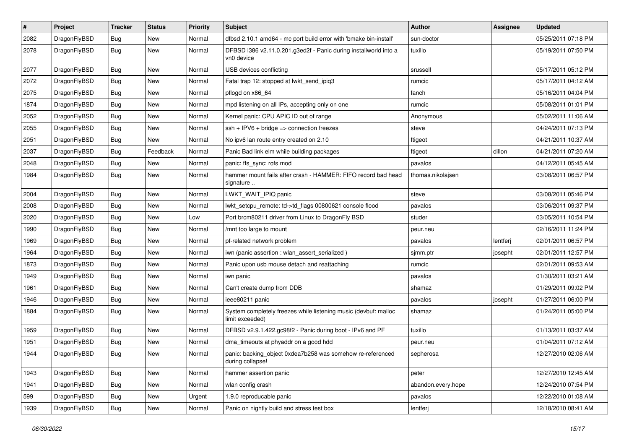| $\sharp$ | Project      | <b>Tracker</b> | <b>Status</b> | <b>Priority</b> | <b>Subject</b>                                                                     | Author             | Assignee | <b>Updated</b>      |
|----------|--------------|----------------|---------------|-----------------|------------------------------------------------------------------------------------|--------------------|----------|---------------------|
| 2082     | DragonFlyBSD | <b>Bug</b>     | <b>New</b>    | Normal          | dfbsd 2.10.1 amd64 - mc port build error with 'bmake bin-install'                  | sun-doctor         |          | 05/25/2011 07:18 PM |
| 2078     | DragonFlyBSD | Bug            | New           | Normal          | DFBSD i386 v2.11.0.201.g3ed2f - Panic during installworld into a<br>vn0 device     | tuxillo            |          | 05/19/2011 07:50 PM |
| 2077     | DragonFlyBSD | Bug            | <b>New</b>    | Normal          | USB devices conflicting                                                            | srussell           |          | 05/17/2011 05:12 PM |
| 2072     | DragonFlyBSD | Bug            | <b>New</b>    | Normal          | Fatal trap 12: stopped at lwkt_send_ipiq3                                          | rumcic             |          | 05/17/2011 04:12 AM |
| 2075     | DragonFlyBSD | <b>Bug</b>     | <b>New</b>    | Normal          | pflogd on x86 64                                                                   | fanch              |          | 05/16/2011 04:04 PM |
| 1874     | DragonFlyBSD | <b>Bug</b>     | <b>New</b>    | Normal          | mpd listening on all IPs, accepting only on one                                    | rumcic             |          | 05/08/2011 01:01 PM |
| 2052     | DragonFlyBSD | <b>Bug</b>     | <b>New</b>    | Normal          | Kernel panic: CPU APIC ID out of range                                             | Anonymous          |          | 05/02/2011 11:06 AM |
| 2055     | DragonFlyBSD | <b>Bug</b>     | New           | Normal          | ssh + IPV6 + bridge => connection freezes                                          | steve              |          | 04/24/2011 07:13 PM |
| 2051     | DragonFlyBSD | Bug            | <b>New</b>    | Normal          | No ipv6 lan route entry created on 2.10                                            | ftigeot            |          | 04/21/2011 10:37 AM |
| 2037     | DragonFlyBSD | <b>Bug</b>     | Feedback      | Normal          | Panic Bad link elm while building packages                                         | ftigeot            | dillon   | 04/21/2011 07:20 AM |
| 2048     | DragonFlyBSD | <b>Bug</b>     | New           | Normal          | panic: ffs_sync: rofs mod                                                          | pavalos            |          | 04/12/2011 05:45 AM |
| 1984     | DragonFlyBSD | Bug            | New           | Normal          | hammer mount fails after crash - HAMMER: FIFO record bad head<br>signature         | thomas.nikolajsen  |          | 03/08/2011 06:57 PM |
| 2004     | DragonFlyBSD | Bug            | New           | Normal          | LWKT_WAIT_IPIQ panic                                                               | steve              |          | 03/08/2011 05:46 PM |
| 2008     | DragonFlyBSD | <b>Bug</b>     | New           | Normal          | lwkt setcpu remote: td->td flags 00800621 console flood                            | pavalos            |          | 03/06/2011 09:37 PM |
| 2020     | DragonFlyBSD | <b>Bug</b>     | <b>New</b>    | Low             | Port brcm80211 driver from Linux to DragonFly BSD                                  | studer             |          | 03/05/2011 10:54 PM |
| 1990     | DragonFlyBSD | Bug            | <b>New</b>    | Normal          | /mnt too large to mount                                                            | peur.neu           |          | 02/16/2011 11:24 PM |
| 1969     | DragonFlyBSD | <b>Bug</b>     | New           | Normal          | pf-related network problem                                                         | pavalos            | lentferj | 02/01/2011 06:57 PM |
| 1964     | DragonFlyBSD | <b>Bug</b>     | <b>New</b>    | Normal          | iwn (panic assertion : wlan_assert_serialized)                                     | sjmm.ptr           | josepht  | 02/01/2011 12:57 PM |
| 1873     | DragonFlyBSD | <b>Bug</b>     | New           | Normal          | Panic upon usb mouse detach and reattaching                                        | rumcic             |          | 02/01/2011 09:53 AM |
| 1949     | DragonFlyBSD | <b>Bug</b>     | New           | Normal          | iwn panic                                                                          | pavalos            |          | 01/30/2011 03:21 AM |
| 1961     | DragonFlyBSD | Bug            | <b>New</b>    | Normal          | Can't create dump from DDB                                                         | shamaz             |          | 01/29/2011 09:02 PM |
| 1946     | DragonFlyBSD | <b>Bug</b>     | New           | Normal          | ieee80211 panic                                                                    | pavalos            | josepht  | 01/27/2011 06:00 PM |
| 1884     | DragonFlyBSD | Bug            | <b>New</b>    | Normal          | System completely freezes while listening music (devbuf: malloc<br>limit exceeded) | shamaz             |          | 01/24/2011 05:00 PM |
| 1959     | DragonFlyBSD | Bug            | <b>New</b>    | Normal          | DFBSD v2.9.1.422.gc98f2 - Panic during boot - IPv6 and PF                          | tuxillo            |          | 01/13/2011 03:37 AM |
| 1951     | DragonFlyBSD | <b>Bug</b>     | <b>New</b>    | Normal          | dma_timeouts at phyaddr on a good hdd                                              | peur.neu           |          | 01/04/2011 07:12 AM |
| 1944     | DragonFlyBSD | Bug            | <b>New</b>    | Normal          | panic: backing_object 0xdea7b258 was somehow re-referenced<br>during collapse!     | sepherosa          |          | 12/27/2010 02:06 AM |
| 1943     | DragonFlyBSD | Bug            | New           | Normal          | hammer assertion panic                                                             | peter              |          | 12/27/2010 12:45 AM |
| 1941     | DragonFlyBSD | <b>Bug</b>     | New           | Normal          | wlan config crash                                                                  | abandon.every.hope |          | 12/24/2010 07:54 PM |
| 599      | DragonFlyBSD | <b>Bug</b>     | New           | Urgent          | 1.9.0 reproducable panic                                                           | pavalos            |          | 12/22/2010 01:08 AM |
| 1939     | DragonFlyBSD | <b>Bug</b>     | New           | Normal          | Panic on nightly build and stress test box                                         | lentferj           |          | 12/18/2010 08:41 AM |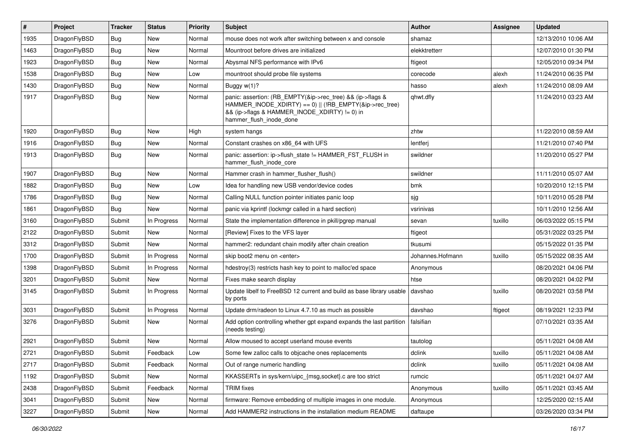| #    | Project      | <b>Tracker</b> | <b>Status</b> | <b>Priority</b> | <b>Subject</b>                                                                                                                                                                                    | <b>Author</b>    | Assignee | <b>Updated</b>      |
|------|--------------|----------------|---------------|-----------------|---------------------------------------------------------------------------------------------------------------------------------------------------------------------------------------------------|------------------|----------|---------------------|
| 1935 | DragonFlyBSD | <b>Bug</b>     | <b>New</b>    | Normal          | mouse does not work after switching between x and console                                                                                                                                         | shamaz           |          | 12/13/2010 10:06 AM |
| 1463 | DragonFlyBSD | <b>Bug</b>     | <b>New</b>    | Normal          | Mountroot before drives are initialized                                                                                                                                                           | elekktretterr    |          | 12/07/2010 01:30 PM |
| 1923 | DragonFlyBSD | <b>Bug</b>     | <b>New</b>    | Normal          | Abysmal NFS performance with IPv6                                                                                                                                                                 | ftigeot          |          | 12/05/2010 09:34 PM |
| 1538 | DragonFlyBSD | Bug            | <b>New</b>    | Low             | mountroot should probe file systems                                                                                                                                                               | corecode         | alexh    | 11/24/2010 06:35 PM |
| 1430 | DragonFlyBSD | <b>Bug</b>     | <b>New</b>    | Normal          | Buggy w(1)?                                                                                                                                                                                       | hasso            | alexh    | 11/24/2010 08:09 AM |
| 1917 | DragonFlyBSD | Bug            | New           | Normal          | panic: assertion: (RB_EMPTY(&ip->rec_tree) && (ip->flags &<br>HAMMER_INODE_XDIRTY) == 0)    (!RB_EMPTY(&ip->rec_tree)<br>&& (ip->flags & HAMMER_INODE_XDIRTY) != 0) in<br>hammer flush inode done | qhwt.dfly        |          | 11/24/2010 03:23 AM |
| 1920 | DragonFlyBSD | Bug            | <b>New</b>    | High            | system hangs                                                                                                                                                                                      | zhtw             |          | 11/22/2010 08:59 AM |
| 1916 | DragonFlyBSD | <b>Bug</b>     | <b>New</b>    | Normal          | Constant crashes on x86 64 with UFS                                                                                                                                                               | lentferj         |          | 11/21/2010 07:40 PM |
| 1913 | DragonFlyBSD | Bug            | <b>New</b>    | Normal          | panic: assertion: ip->flush_state != HAMMER_FST_FLUSH in<br>hammer flush inode core                                                                                                               | swildner         |          | 11/20/2010 05:27 PM |
| 1907 | DragonFlyBSD | <b>Bug</b>     | <b>New</b>    | Normal          | Hammer crash in hammer_flusher_flush()                                                                                                                                                            | swildner         |          | 11/11/2010 05:07 AM |
| 1882 | DragonFlyBSD | Bug            | <b>New</b>    | Low             | Idea for handling new USB vendor/device codes                                                                                                                                                     | bmk              |          | 10/20/2010 12:15 PM |
| 1786 | DragonFlyBSD | <b>Bug</b>     | <b>New</b>    | Normal          | Calling NULL function pointer initiates panic loop                                                                                                                                                | sjg              |          | 10/11/2010 05:28 PM |
| 1861 | DragonFlyBSD | Bug            | <b>New</b>    | Normal          | panic via kprintf (lockmgr called in a hard section)                                                                                                                                              | vsrinivas        |          | 10/11/2010 12:56 AM |
| 3160 | DragonFlyBSD | Submit         | In Progress   | Normal          | State the implementation difference in pkill/pgrep manual                                                                                                                                         | sevan            | tuxillo  | 06/03/2022 05:15 PM |
| 2122 | DragonFlyBSD | Submit         | <b>New</b>    | Normal          | [Review] Fixes to the VFS layer                                                                                                                                                                   | ftigeot          |          | 05/31/2022 03:25 PM |
| 3312 | DragonFlyBSD | Submit         | New           | Normal          | hammer2: redundant chain modify after chain creation                                                                                                                                              | tkusumi          |          | 05/15/2022 01:35 PM |
| 1700 | DragonFlyBSD | Submit         | In Progress   | Normal          | skip boot2 menu on <enter></enter>                                                                                                                                                                | Johannes.Hofmann | tuxillo  | 05/15/2022 08:35 AM |
| 1398 | DragonFlyBSD | Submit         | In Progress   | Normal          | hdestroy(3) restricts hash key to point to malloc'ed space                                                                                                                                        | Anonymous        |          | 08/20/2021 04:06 PM |
| 3201 | DragonFlyBSD | Submit         | <b>New</b>    | Normal          | Fixes make search display                                                                                                                                                                         | htse             |          | 08/20/2021 04:02 PM |
| 3145 | DragonFlyBSD | Submit         | In Progress   | Normal          | Update libelf to FreeBSD 12 current and build as base library usable<br>by ports                                                                                                                  | davshao          | tuxillo  | 08/20/2021 03:58 PM |
| 3031 | DragonFlyBSD | Submit         | In Progress   | Normal          | Update drm/radeon to Linux 4.7.10 as much as possible                                                                                                                                             | davshao          | ftigeot  | 08/19/2021 12:33 PM |
| 3276 | DragonFlyBSD | Submit         | New           | Normal          | Add option controlling whether gpt expand expands the last partition<br>(needs testing)                                                                                                           | falsifian        |          | 07/10/2021 03:35 AM |
| 2921 | DragonFlyBSD | Submit         | <b>New</b>    | Normal          | Allow moused to accept userland mouse events                                                                                                                                                      | tautolog         |          | 05/11/2021 04:08 AM |
| 2721 | DragonFlyBSD | Submit         | Feedback      | Low             | Some few zalloc calls to objcache ones replacements                                                                                                                                               | dclink           | tuxillo  | 05/11/2021 04:08 AM |
| 2717 | DragonFlyBSD | Submit         | Feedback      | Normal          | Out of range numeric handling                                                                                                                                                                     | dclink           | tuxillo  | 05/11/2021 04:08 AM |
| 1192 | DragonFlyBSD | Submit         | New           | Normal          | KKASSERTs in sys/kern/uipc {msg,socket}.c are too strict                                                                                                                                          | rumcic           |          | 05/11/2021 04:07 AM |
| 2438 | DragonFlyBSD | Submit         | Feedback      | Normal          | <b>TRIM</b> fixes                                                                                                                                                                                 | Anonymous        | tuxillo  | 05/11/2021 03:45 AM |
| 3041 | DragonFlyBSD | Submit         | New           | Normal          | firmware: Remove embedding of multiple images in one module.                                                                                                                                      | Anonymous        |          | 12/25/2020 02:15 AM |
| 3227 | DragonFlyBSD | Submit         | New           | Normal          | Add HAMMER2 instructions in the installation medium README                                                                                                                                        | daftaupe         |          | 03/26/2020 03:34 PM |